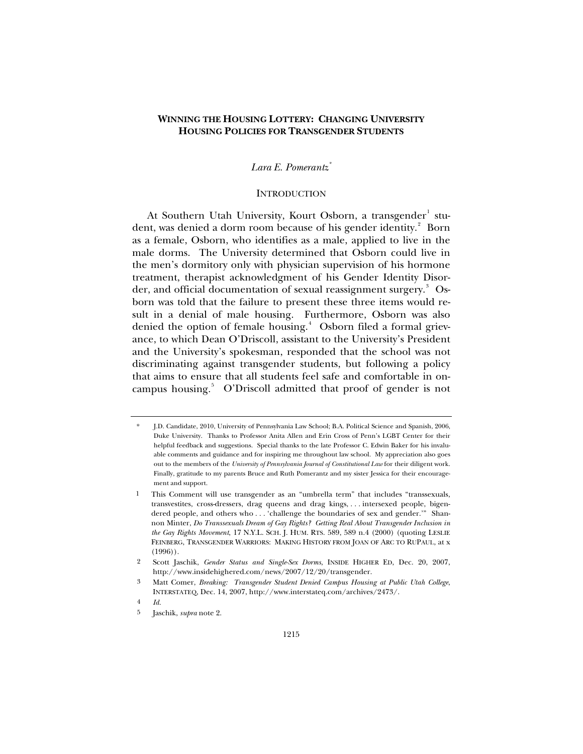# **WINNING THE HOUSING LOTTERY: CHANGING UNIVERSITY HOUSING POLICIES FOR TRANSGENDER STUDENTS**

# *Lara E. Pomerantz[\\*](#page-0-0)*

# **INTRODUCTION**

At Southern Utah University, Kourt Osborn, a transgender $^{\rm l}$  stu-dent, was denied a dorm room because of his gender identity.<sup>[2](#page-0-2)</sup> Born as a female, Osborn, who identifies as a male, applied to live in the male dorms. The University determined that Osborn could live in the men's dormitory only with physician supervision of his hormone treatment, therapist acknowledgment of his Gender Identity Disorder, and official documentation of sexual reassignment surgery. $^{\mathrm{3}}$  $^{\mathrm{3}}$  $^{\mathrm{3}}$  Osborn was told that the failure to present these three items would result in a denial of male housing. Furthermore, Osborn was also denied the option of female housing.<sup>[4](#page-0-4)</sup> Osborn filed a formal grievance, to which Dean O'Driscoll, assistant to the University's President and the University's spokesman, responded that the school was not discriminating against transgender students, but following a policy that aims to ensure that all students feel safe and comfortable in on-campus housing.<sup>[5](#page-0-5)</sup> O'Driscoll admitted that proof of gender is not

<span id="page-0-0"></span><sup>\*</sup> J.D. Candidate, 2010, University of Pennsylvania Law School; B.A. Political Science and Spanish, 2006, Duke University. Thanks to Professor Anita Allen and Erin Cross of Penn's LGBT Center for their helpful feedback and suggestions. Special thanks to the late Professor C. Edwin Baker for his invaluable comments and guidance and for inspiring me throughout law school. My appreciation also goes out to the members of the *University of Pennsylvania Journal of Constitutional Law* for their diligent work. Finally, gratitude to my parents Bruce and Ruth Pomerantz and my sister Jessica for their encouragement and support.

<span id="page-0-1"></span> <sup>1</sup> This Comment will use transgender as an "umbrella term" that includes "transsexuals, transvestites, cross-dressers, drag queens and drag kings, . . . intersexed people, bigendered people, and others who . . . 'challenge the boundaries of sex and gender.'" Shannon Minter, *Do Transsexuals Dream of Gay Rights? Getting Real About Transgender Inclusion in the Gay Rights Movement*, 17 N.Y.L. SCH. J. HUM. RTS. 589, 589 n.4 (2000) (quoting LESLIE FEINBERG, TRANSGENDER WARRIORS: MAKING HISTORY FROM JOAN OF ARC TO RUPAUL, at x  $(1996)$ .

<span id="page-0-2"></span><sup>2</sup> Scott Jaschik, *Gender Status and Single-Sex Dorms*, INSIDE HIGHER ED, Dec. 20, 2007, http://www.insidehighered.com/news/2007/12/20/transgender.

<span id="page-0-3"></span><sup>3</sup> Matt Comer, *Breaking: Transgender Student Denied Campus Housing at Public Utah College*, INTERSTATEQ, Dec. 14, 2007, http://www.interstateq.com/archives/2473/.

<span id="page-0-5"></span><span id="page-0-4"></span><sup>4</sup> *Id.*

<sup>5</sup> Jaschik, *supra* note 2.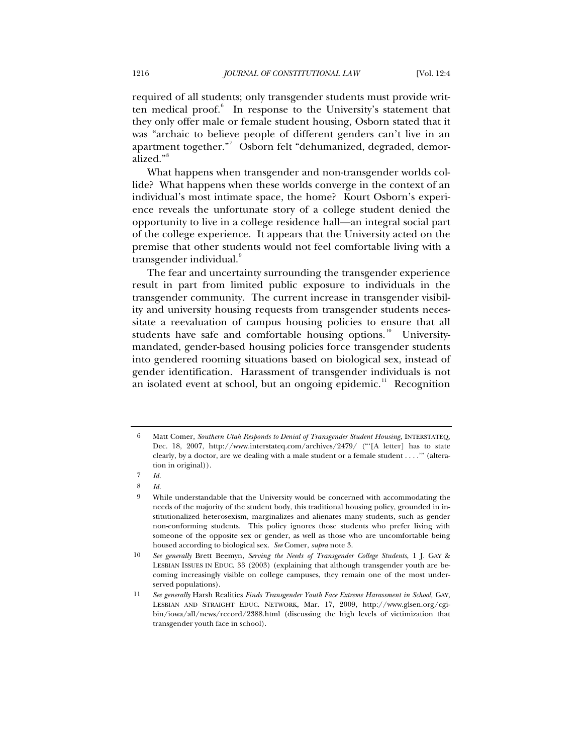required of all students; only transgender students must provide writ-ten medical proof.<sup>[6](#page-1-0)</sup> In response to the University's statement that they only offer male or female student housing, Osborn stated that it was "archaic to believe people of different genders can't live in an apartment together." Osborn felt "dehumanized, degraded, demoralized."[8](#page-1-2)

What happens when transgender and non-transgender worlds collide? What happens when these worlds converge in the context of an individual's most intimate space, the home? Kourt Osborn's experience reveals the unfortunate story of a college student denied the opportunity to live in a college residence hall—an integral social part of the college experience. It appears that the University acted on the premise that other students would not feel comfortable living with a transgender individual.

The fear and uncertainty surrounding the transgender experience result in part from limited public exposure to individuals in the transgender community. The current increase in transgender visibility and university housing requests from transgender students necessitate a reevaluation of campus housing policies to ensure that all students have safe and comfortable housing options.<sup>[10](#page-1-4)</sup> Universitymandated, gender-based housing policies force transgender students into gendered rooming situations based on biological sex, instead of gender identification. Harassment of transgender individuals is not an isolated event at school, but an ongoing epidemic.<sup>[11](#page-1-5)</sup> Recognition

<span id="page-1-0"></span><sup>6</sup> Matt Comer, *Southern Utah Responds to Denial of Transgender Student Housing*, INTERSTATEQ, Dec. 18, 2007, http://www.interstateq.com/archives/2479/ ("'[A letter] has to state clearly, by a doctor, are we dealing with a male student or a female student . . . .'" (alteration in original)).

<span id="page-1-1"></span><sup>7</sup> *Id.*

<span id="page-1-2"></span><sup>8</sup> *Id.*

<span id="page-1-3"></span><sup>9</sup> While understandable that the University would be concerned with accommodating the needs of the majority of the student body, this traditional housing policy, grounded in institutionalized heterosexism, marginalizes and alienates many students, such as gender non-conforming students. This policy ignores those students who prefer living with someone of the opposite sex or gender, as well as those who are uncomfortable being housed according to biological sex. *See* Comer, *supra* note 3.

<span id="page-1-4"></span><sup>10</sup> *See generally* Brett Beemyn, *Serving the Needs of Transgender College Students*, 1 J. GAY & LESBIAN ISSUES IN EDUC. 33 (2003) (explaining that although transgender youth are becoming increasingly visible on college campuses, they remain one of the most underserved populations).

<span id="page-1-5"></span><sup>11</sup> *See generally* Harsh Realities *Finds Transgender Youth Face Extreme Harassment in School,* GAY, LESBIAN AND STRAIGHT EDUC. NETWORK, Mar. 17, 2009, http://www.glsen.org/cgibin/iowa/all/news/record/2388.html (discussing the high levels of victimization that transgender youth face in school).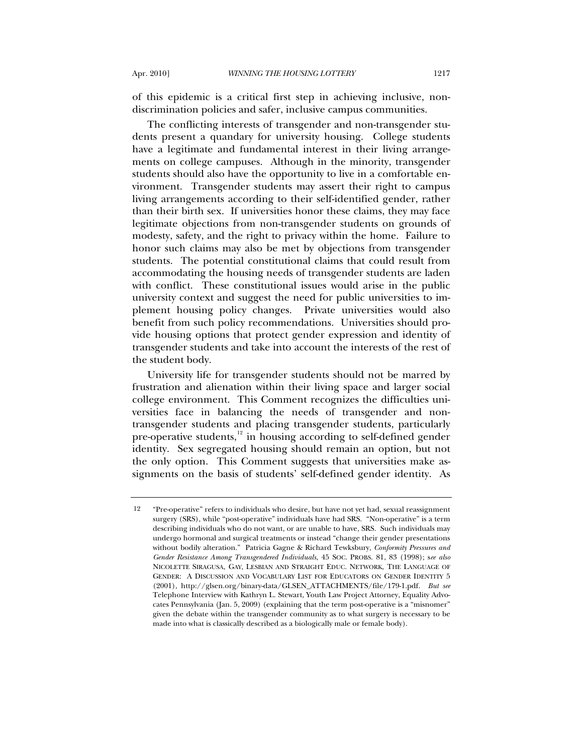of this epidemic is a critical first step in achieving inclusive, nondiscrimination policies and safer, inclusive campus communities.

The conflicting interests of transgender and non-transgender students present a quandary for university housing. College students have a legitimate and fundamental interest in their living arrangements on college campuses. Although in the minority, transgender students should also have the opportunity to live in a comfortable environment. Transgender students may assert their right to campus living arrangements according to their self-identified gender, rather than their birth sex. If universities honor these claims, they may face legitimate objections from non-transgender students on grounds of modesty, safety, and the right to privacy within the home. Failure to honor such claims may also be met by objections from transgender students. The potential constitutional claims that could result from accommodating the housing needs of transgender students are laden with conflict. These constitutional issues would arise in the public university context and suggest the need for public universities to implement housing policy changes. Private universities would also benefit from such policy recommendations. Universities should provide housing options that protect gender expression and identity of transgender students and take into account the interests of the rest of the student body.

University life for transgender students should not be marred by frustration and alienation within their living space and larger social college environment. This Comment recognizes the difficulties universities face in balancing the needs of transgender and nontransgender students and placing transgender students, particularly pre-operative students, $12$  in housing according to self-defined gender identity. Sex segregated housing should remain an option, but not the only option. This Comment suggests that universities make assignments on the basis of students' self-defined gender identity. As

<span id="page-2-0"></span><sup>12 &</sup>quot;Pre-operative" refers to individuals who desire, but have not yet had, sexual reassignment surgery (SRS), while "post-operative" individuals have had SRS. "Non-operative" is a term describing individuals who do not want, or are unable to have, SRS. Such individuals may undergo hormonal and surgical treatments or instead "change their gender presentations without bodily alteration." Patricia Gagne & Richard Tewksbury, *Conformity Pressures and Gender Resistance Among Transgendered Individuals*, 45 SOC. PROBS. 81, 83 (1998); s*ee also* NICOLETTE SIRAGUSA, GAY, LESBIAN AND STRAIGHT EDUC. NETWORK, THE LANGUAGE OF GENDER: A DISCUSSION AND VOCABULARY LIST FOR EDUCATORS ON GENDER IDENTITY 5 (2001), http://glsen.org/binary-data/GLSEN\_ATTACHMENTS/file/179-1.pdf. *But see* Telephone Interview with Kathryn L. Stewart, Youth Law Project Attorney, Equality Advocates Pennsylvania (Jan. 5, 2009) (explaining that the term post-operative is a "misnomer" given the debate within the transgender community as to what surgery is necessary to be made into what is classically described as a biologically male or female body).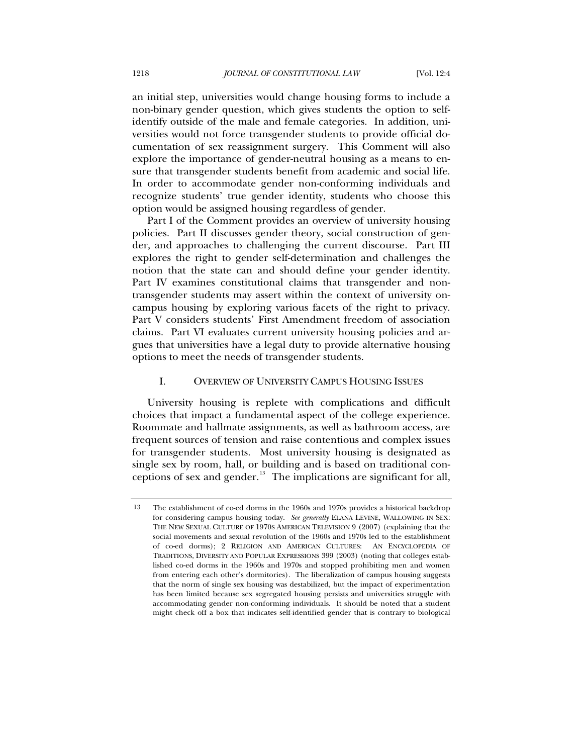an initial step, universities would change housing forms to include a non-binary gender question, which gives students the option to selfidentify outside of the male and female categories. In addition, universities would not force transgender students to provide official documentation of sex reassignment surgery. This Comment will also explore the importance of gender-neutral housing as a means to ensure that transgender students benefit from academic and social life. In order to accommodate gender non-conforming individuals and recognize students' true gender identity, students who choose this option would be assigned housing regardless of gender.

Part I of the Comment provides an overview of university housing policies. Part II discusses gender theory, social construction of gender, and approaches to challenging the current discourse. Part III explores the right to gender self-determination and challenges the notion that the state can and should define your gender identity. Part IV examines constitutional claims that transgender and nontransgender students may assert within the context of university oncampus housing by exploring various facets of the right to privacy. Part V considers students' First Amendment freedom of association claims. Part VI evaluates current university housing policies and argues that universities have a legal duty to provide alternative housing options to meet the needs of transgender students.

## I. OVERVIEW OF UNIVERSITY CAMPUS HOUSING ISSUES

University housing is replete with complications and difficult choices that impact a fundamental aspect of the college experience. Roommate and hallmate assignments, as well as bathroom access, are frequent sources of tension and raise contentious and complex issues for transgender students. Most university housing is designated as single sex by room, hall, or building and is based on traditional conceptions of sex and gender. $13$  The implications are significant for all,

<span id="page-3-0"></span><sup>13</sup> The establishment of co-ed dorms in the 1960s and 1970s provides a historical backdrop for considering campus housing today. *See generally* ELANA LEVINE, WALLOWING IN SEX: THE NEW SEXUAL CULTURE OF 1970S AMERICAN TELEVISION 9 (2007) (explaining that the social movements and sexual revolution of the 1960s and 1970s led to the establishment of co-ed dorms); 2 RELIGION AND AMERICAN CULTURES: AN ENCYCLOPEDIA OF TRADITIONS, DIVERSITY AND POPULAR EXPRESSIONS 399 (2003) (noting that colleges established co-ed dorms in the 1960s and 1970s and stopped prohibiting men and women from entering each other's dormitories). The liberalization of campus housing suggests that the norm of single sex housing was destabilized, but the impact of experimentation has been limited because sex segregated housing persists and universities struggle with accommodating gender non-conforming individuals. It should be noted that a student might check off a box that indicates self-identified gender that is contrary to biological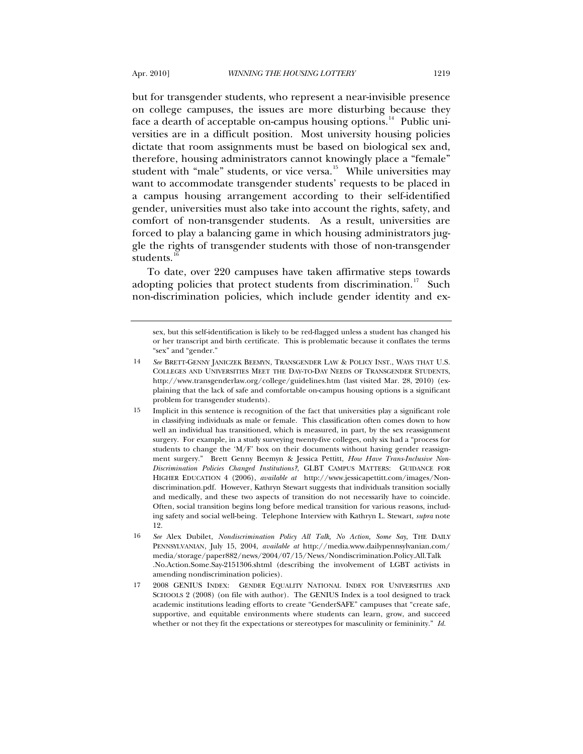but for transgender students, who represent a near-invisible presence on college campuses, the issues are more disturbing because they face a dearth of acceptable on-campus housing options.<sup>[14](#page-4-0)</sup> Public universities are in a difficult position. Most university housing policies dictate that room assignments must be based on biological sex and, therefore, housing administrators cannot knowingly place a "female" student with "male" students, or vice versa.<sup>[15](#page-4-1)</sup> While universities may want to accommodate transgender students' requests to be placed in a campus housing arrangement according to their self-identified gender, universities must also take into account the rights, safety, and comfort of non-transgender students. As a result, universities are forced to play a balancing game in which housing administrators juggle the rights of transgender students with those of non-transgender students. $1$ 

To date, over 220 campuses have taken affirmative steps towards adopting policies that protect students from discrimination.<sup>[17](#page-4-3)</sup> Such non-discrimination policies, which include gender identity and ex-

sex, but this self-identification is likely to be red-flagged unless a student has changed his or her transcript and birth certificate. This is problematic because it conflates the terms "sex" and "gender."

<span id="page-4-0"></span><sup>14</sup> *See* BRETT-GENNY JANICZEK BEEMYN, TRANSGENDER LAW & POLICY INST., WAYS THAT U.S. COLLEGES AND UNIVERSITIES MEET THE DAY-TO-DAY NEEDS OF TRANSGENDER STUDENTS, http://www.transgenderlaw.org/college/guidelines.htm (last visited Mar. 28, 2010) (explaining that the lack of safe and comfortable on-campus housing options is a significant problem for transgender students).

<span id="page-4-1"></span><sup>15</sup> Implicit in this sentence is recognition of the fact that universities play a significant role in classifying individuals as male or female. This classification often comes down to how well an individual has transitioned, which is measured, in part, by the sex reassignment surgery. For example, in a study surveying twenty-five colleges, only six had a "process for students to change the 'M/F' box on their documents without having gender reassignment surgery." Brett Genny Beemyn & Jessica Pettitt, *How Have Trans-Inclusive Non-Discrimination Policies Changed Institutions?*, GLBT CAMPUS MATTERS: GUIDANCE FOR HIGHER EDUCATION 4 (2006), *available at* http://www.jessicapettitt.com/images/Nondiscrimination.pdf. However, Kathryn Stewart suggests that individuals transition socially and medically, and these two aspects of transition do not necessarily have to coincide. Often, social transition begins long before medical transition for various reasons, including safety and social well-being. Telephone Interview with Kathryn L. Stewart, *supra* note 12.

<span id="page-4-2"></span><sup>16</sup> *See* Alex Dubilet, *Nondiscrimination Policy All Talk, No Action, Some Say*, THE DAILY PENNSYLVANIAN, July 15, 2004, *available at* http://media.www.dailypennsylvanian.com/ media/storage/paper882/news/2004/07/15/News/Nondiscrimination.Policy.All.Talk .No.Action.Some.Say-2151306.shtml (describing the involvement of LGBT activists in amending nondiscrimination policies).

<span id="page-4-3"></span><sup>17 2008</sup> GENIUS INDEX: GENDER EQUALITY NATIONAL INDEX FOR UNIVERSITIES AND SCHOOLS 2 (2008) (on file with author). The GENIUS Index is a tool designed to track academic institutions leading efforts to create "GenderSAFE" campuses that "create safe, supportive, and equitable environments where students can learn, grow, and succeed whether or not they fit the expectations or stereotypes for masculinity or femininity." *Id.*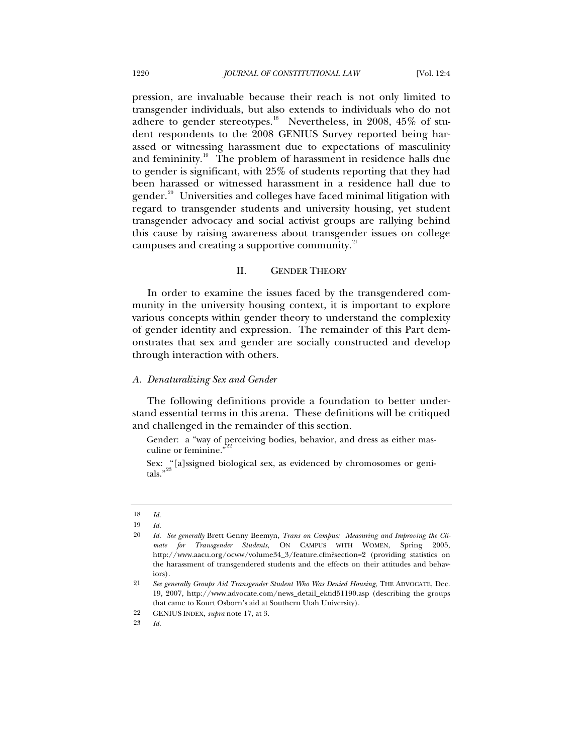pression, are invaluable because their reach is not only limited to transgender individuals, but also extends to individuals who do not adhere to gender stereotypes.<sup>[18](#page-5-0)</sup> Nevertheless, in 2008, 45\% of student respondents to the 2008 GENIUS Survey reported being harassed or witnessing harassment due to expectations of masculinity and femininity.<sup>[19](#page-5-1)</sup> The problem of harassment in residence halls due to gender is significant, with 25% of students reporting that they had been harassed or witnessed harassment in a residence hall due to gender.<sup>[20](#page-5-2)</sup> Universities and colleges have faced minimal litigation with regard to transgender students and university housing, yet student transgender advocacy and social activist groups are rallying behind this cause by raising awareness about transgender issues on college campuses and creating a supportive community.<sup>[21](#page-5-3)</sup>

## II. GENDER THEORY

In order to examine the issues faced by the transgendered community in the university housing context, it is important to explore various concepts within gender theory to understand the complexity of gender identity and expression. The remainder of this Part demonstrates that sex and gender are socially constructed and develop through interaction with others.

## *A. Denaturalizing Sex and Gender*

The following definitions provide a foundation to better understand essential terms in this arena. These definitions will be critiqued and challenged in the remainder of this section.

Gender: a "way of perceiving bodies, behavior, and dress as either mas-culine or feminine."<sup>[22](#page-5-4)</sup>

Sex: "[a]ssigned biological sex, as evidenced by chromosomes or genitals." $^{23}$  $^{23}$  $^{23}$ 

<span id="page-5-0"></span><sup>18</sup> *Id.*

<sup>19</sup> *Id.*

<span id="page-5-2"></span><span id="page-5-1"></span><sup>20</sup> *Id. See generally* Brett Genny Beemyn, *Trans on Campus: Measuring and Improving the Climate for Transgender Students*, ON CAMPUS WITH WOMEN, Spring 2005, http://www.aacu.org/ocww/volume34\_3/feature.cfm?section=2 (providing statistics on the harassment of transgendered students and the effects on their attitudes and behaviors).

<span id="page-5-3"></span><sup>21</sup> *See generally Groups Aid Transgender Student Who Was Denied Housing*, THE ADVOCATE, Dec. 19, 2007, http://www.advocate.com/news\_detail\_ektid51190.asp (describing the groups that came to Kourt Osborn's aid at Southern Utah University).

<span id="page-5-5"></span><span id="page-5-4"></span><sup>22</sup> GENIUS INDEX, *supra* note 17, at 3.

<sup>23</sup> *Id.*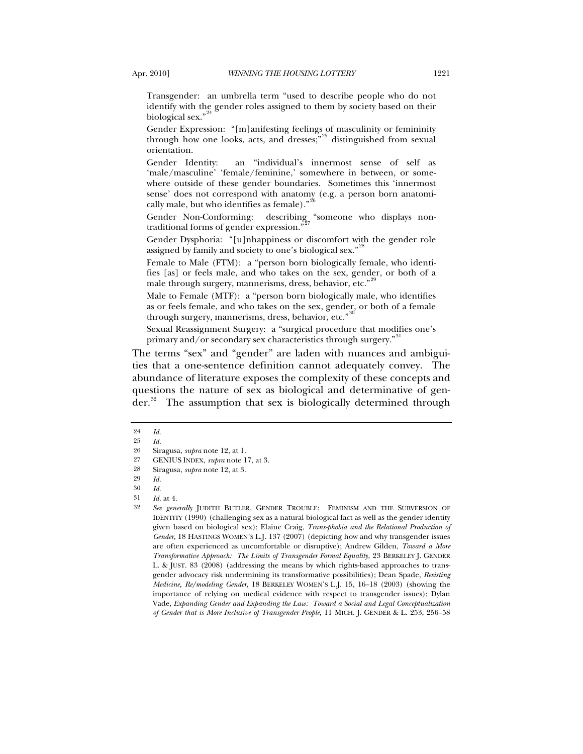Transgender: an umbrella term "used to describe people who do not identify with the gender roles assigned to them by society based on their biological sex."

Gender Expression: "[m]anifesting feelings of masculinity or femininity through how one looks, acts, and dresses; $\frac{1}{2}$ <sup>[25](#page-6-1)</sup> distinguished from sexual orientation.

Gender Identity: an "individual's innermost sense of self as 'male/masculine' 'female/feminine,' somewhere in between, or somewhere outside of these gender boundaries. Sometimes this 'innermost sense' does not correspond with anatomy (e.g. a person born anatomi-cally male, but who identifies as female)."<sup>[26](#page-6-2)</sup>

Gender Non-Conforming: describing, "someone who displays nontraditional forms of gender expression."

Gender Dysphoria: "[u]nhappiness or discomfort with the gender role assigned by family and society to one's biological sex."

Female to Male (FTM): a "person born biologically female, who identifies [as] or feels male, and who takes on the sex, gender, or both of a male through surgery, mannerisms, dress, behavior, etc."<sup>2</sup>

Male to Female (MTF): a "person born biologically male, who identifies as or feels female, and who takes on the sex, gender, or both of a female through surgery, mannerisms, dress, behavior, etc."

Sexual Reassignment Surgery: a "surgical procedure that modifies one's primary and/or secondary sex characteristics through surgery."

The terms "sex" and "gender" are laden with nuances and ambiguities that a one-sentence definition cannot adequately convey. The abundance of literature exposes the complexity of these concepts and questions the nature of sex as biological and determinative of gen- $\text{der.}^{32}$  $\text{der.}^{32}$  $\text{der.}^{32}$  The assumption that sex is biologically determined through

*Id.* at 4.

<span id="page-6-1"></span><span id="page-6-0"></span> $\begin{array}{cc} 24 & Id. \\ 25 & Id. \end{array}$ 

<sup>25</sup> *Id.*

<span id="page-6-2"></span><sup>26</sup> Siragusa, *supra* note 12, at 1.<br>27 GENIUS INDEX *subra* note 1

<span id="page-6-4"></span><span id="page-6-3"></span><sup>27</sup> GENIUS INDEX, *supra* note 17, at 3.<br>28 Siragusa *subra* note 12 at 3

Siragusa, *supra* note 12, at 3.

<span id="page-6-6"></span><span id="page-6-5"></span><sup>29</sup> *Id.*

<span id="page-6-7"></span><sup>30</sup> *Id.*

<span id="page-6-8"></span><sup>32</sup> *See generally* JUDITH BUTLER, GENDER TROUBLE: FEMINISM AND THE SUBVERSION OF IDENTITY (1990) (challenging sex as a natural biological fact as well as the gender identity given based on biological sex); Elaine Craig, *Trans-phobia and the Relational Production of Gender*, 18 HASTINGS WOMEN'S L.J. 137 (2007) (depicting how and why transgender issues are often experienced as uncomfortable or disruptive); Andrew Gilden, *Toward a More Transformative Approach: The Limits of Transgender Formal Equality*, 23 BERKELEY J. GENDER L. & JUST. 83 (2008) (addressing the means by which rights-based approaches to transgender advocacy risk undermining its transformative possibilities); Dean Spade, *Resisting Medicine, Re/modeling Gender*, 18 BERKELEY WOMEN'S L.J. 15, 16–18 (2003) (showing the importance of relying on medical evidence with respect to transgender issues); Dylan Vade, *Expanding Gender and Expanding the Law: Toward a Social and Legal Conceptualization of Gender that is More Inclusive of Transgender People*, 11 MICH. J. GENDER & L. 253, 256–58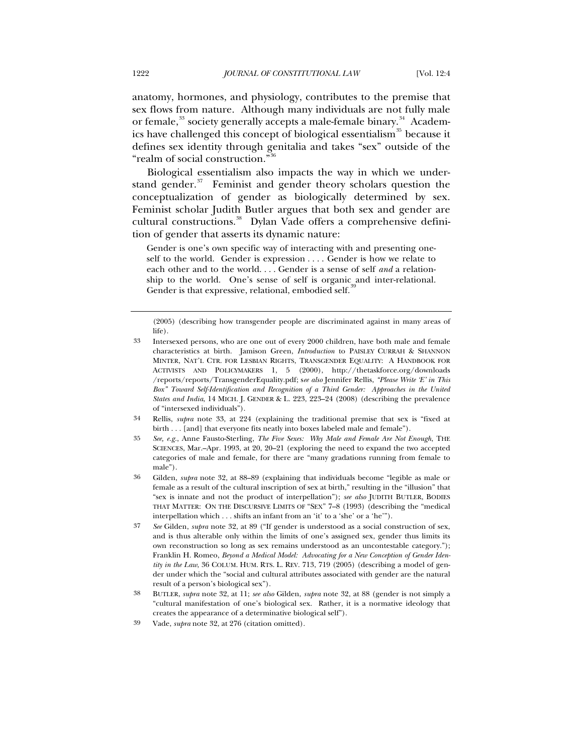anatomy, hormones, and physiology, contributes to the premise that sex flows from nature. Although many individuals are not fully male or female,<sup>[33](#page-7-0)</sup> society generally accepts a male-female binary.<sup>[34](#page-7-1)</sup> Academ-ics have challenged this concept of biological essentialism<sup>[35](#page-7-2)</sup> because it defines sex identity through genitalia and takes "sex" outside of the "realm of social construction."[36](#page-7-3)

Biological essentialism also impacts the way in which we understand gender. $37$  Feminist and gender theory scholars question the conceptualization of gender as biologically determined by sex. Feminist scholar Judith Butler argues that both sex and gender are cultural constructions.<sup>[38](#page-7-5)</sup> Dylan Vade offers a comprehensive definition of gender that asserts its dynamic nature:

Gender is one's own specific way of interacting with and presenting oneself to the world. Gender is expression . . . . Gender is how we relate to each other and to the world. . . . Gender is a sense of self *and* a relationship to the world. One's sense of self is organic and inter-relational. Gender is that expressive, relational, embodied self.

- <span id="page-7-1"></span>34 Rellis, *supra* note 33, at 224 (explaining the traditional premise that sex is "fixed at birth . . . [and] that everyone fits neatly into boxes labeled male and female").
- <span id="page-7-2"></span>35 *See, e.g.*, Anne Fausto-Sterling, *The Five Sexes: Why Male and Female Are Not Enough*, THE SCIENCES, Mar.–Apr. 1993, at 20, 20–21 (exploring the need to expand the two accepted categories of male and female, for there are "many gradations running from female to male").
- <span id="page-7-3"></span>36 Gilden, *supra* note 32, at 88–89 (explaining that individuals become "legible as male or female as a result of the cultural inscription of sex at birth," resulting in the "illusion" that "sex is innate and not the product of interpellation"); *see also* JUDITH BUTLER, BODIES THAT MATTER: ON THE DISCURSIVE LIMITS OF "SEX" 7–8 (1993) (describing the "medical interpellation which . . . shifts an infant from an 'it' to a 'she' or a 'he'").
- <span id="page-7-4"></span>37 *See* Gilden, *supra* note 32, at 89 ("If gender is understood as a social construction of sex, and is thus alterable only within the limits of one's assigned sex, gender thus limits its own reconstruction so long as sex remains understood as an uncontestable category."); Franklin H. Romeo, *Beyond a Medical Model: Advocating for a New Conception of Gender Identity in the Law*, 36 COLUM. HUM. RTS. L. REV. 713, 719 (2005) (describing a model of gender under which the "social and cultural attributes associated with gender are the natural result of a person's biological sex").
- <span id="page-7-5"></span>38 BUTLER, *supra* note 32, at 11; *see also* Gilden, *supra* note 32, at 88 (gender is not simply a "cultural manifestation of one's biological sex. Rather, it is a normative ideology that creates the appearance of a determinative biological self").

<sup>(2005) (</sup>describing how transgender people are discriminated against in many areas of life).

<span id="page-7-0"></span><sup>33</sup> Intersexed persons, who are one out of every 2000 children, have both male and female characteristics at birth. Jamison Green, *Introduction* to PAISLEY CURRAH & SHANNON MINTER, NAT'L CTR. FOR LESBIAN RIGHTS, TRANSGENDER EQUALITY: A HANDBOOK FOR ACTIVISTS AND POLICYMAKERS 1, 5 (2000), http://thetaskforce.org/downloads /reports/reports/TransgenderEquality.pdf; s*ee also* Jennifer Rellis, *"Please Write 'E' in This Box" Toward Self-Identification and Recognition of a Third Gender: Approaches in the United States and India*, 14 MICH. J. GENDER & L. 223, 223–24 (2008) (describing the prevalence of "intersexed individuals").

<span id="page-7-6"></span><sup>39</sup> Vade, *supra* note 32, at 276 (citation omitted).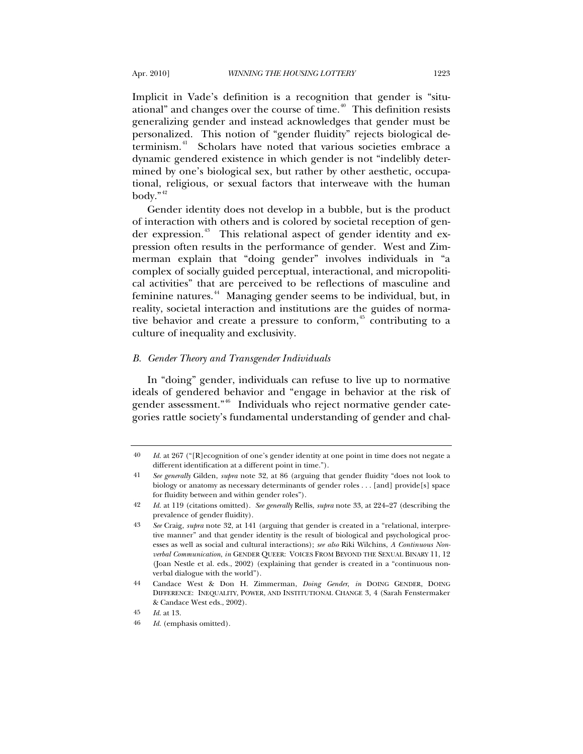Implicit in Vade's definition is a recognition that gender is "situational" and changes over the course of time. $40$  This definition resists generalizing gender and instead acknowledges that gender must be personalized. This notion of "gender fluidity" rejects biological de-terminism.<sup>[41](#page-8-1)</sup> Scholars have noted that various societies embrace a dynamic gendered existence in which gender is not "indelibly determined by one's biological sex, but rather by other aesthetic, occupational, religious, or sexual factors that interweave with the human body." $42$ 

Gender identity does not develop in a bubble, but is the product of interaction with others and is colored by societal reception of gen-der expression.<sup>[43](#page-8-3)</sup> This relational aspect of gender identity and expression often results in the performance of gender. West and Zimmerman explain that "doing gender" involves individuals in "a complex of socially guided perceptual, interactional, and micropolitical activities" that are perceived to be reflections of masculine and feminine natures.<sup>[44](#page-8-4)</sup> Managing gender seems to be individual, but, in reality, societal interaction and institutions are the guides of normative behavior and create a pressure to conform,  $45$  contributing to a culture of inequality and exclusivity.

### *B. Gender Theory and Transgender Individuals*

In "doing" gender, individuals can refuse to live up to normative ideals of gendered behavior and "engage in behavior at the risk of gender assessment."<sup>[46](#page-8-6)</sup> Individuals who reject normative gender categories rattle society's fundamental understanding of gender and chal-

<span id="page-8-0"></span><sup>40</sup> *Id.* at 267 ("[R]ecognition of one's gender identity at one point in time does not negate a different identification at a different point in time.").

<span id="page-8-1"></span><sup>41</sup> *See generally* Gilden, *supra* note 32, at 86 (arguing that gender fluidity "does not look to biology or anatomy as necessary determinants of gender roles . . . [and] provide[s] space for fluidity between and within gender roles").

<span id="page-8-2"></span><sup>42</sup> *Id.* at 119 (citations omitted). *See generally* Rellis, *supra* note 33, at 224–27 (describing the prevalence of gender fluidity).

<span id="page-8-3"></span><sup>43</sup> *See* Craig, *supra* note 32, at 141 (arguing that gender is created in a "relational, interpretive manner" and that gender identity is the result of biological and psychological processes as well as social and cultural interactions); *see also* Riki Wilchins, *A Continuous Nonverbal Communication*, *in* GENDER QUEER: VOICES FROM BEYOND THE SEXUAL BINARY 11, 12 (Joan Nestle et al. eds., 2002) (explaining that gender is created in a "continuous nonverbal dialogue with the world").

<span id="page-8-4"></span><sup>44</sup> Candace West & Don H. Zimmerman, *Doing Gender*, *in* DOING GENDER, DOING DIFFERENCE: INEQUALITY, POWER, AND INSTITUTIONAL CHANGE 3, 4 (Sarah Fenstermaker & Candace West eds., 2002).

<span id="page-8-6"></span><span id="page-8-5"></span><sup>45</sup> *Id.* at 13.

<sup>46</sup> *Id.* (emphasis omitted).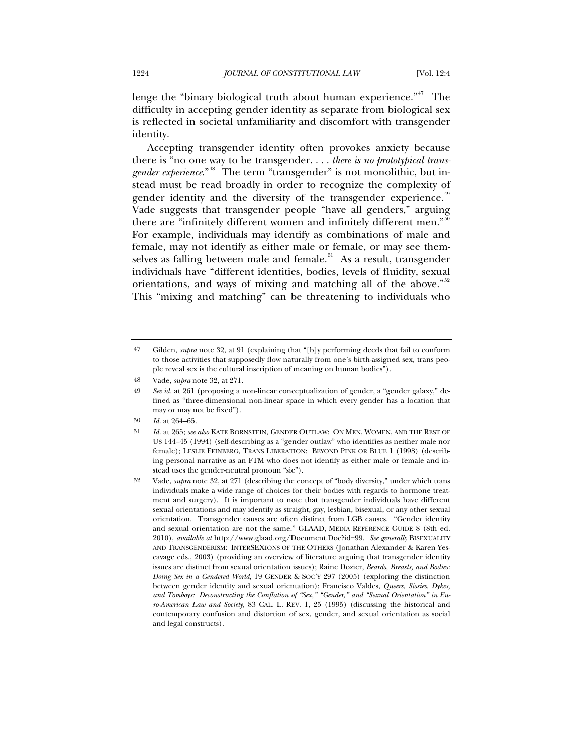lenge the "binary biological truth about human experience."<sup>[47](#page-9-0)</sup> The difficulty in accepting gender identity as separate from biological sex is reflected in societal unfamiliarity and discomfort with transgender identity.

Accepting transgender identity often provokes anxiety because there is "no one way to be transgender. . . . *there is no prototypical transgender experience*."<sup>[48](#page-9-1)</sup> The term "transgender" is not monolithic, but instead must be read broadly in order to recognize the complexity of gender identity and the diversity of the transgender experience.<sup>[49](#page-9-2)</sup> Vade suggests that transgender people "have all genders," arguing there are "infinitely different women and infinitely different men."<sup>[50](#page-9-3)</sup> For example, individuals may identify as combinations of male and female, may not identify as either male or female, or may see them-selves as falling between male and female.<sup>[51](#page-9-4)</sup> As a result, transgender individuals have "different identities, bodies, levels of fluidity, sexual orientations, and ways of mixing and matching all of the above."<sup>[52](#page-9-5)</sup> This "mixing and matching" can be threatening to individuals who

<span id="page-9-0"></span><sup>47</sup> Gilden, *supra* note 32, at 91 (explaining that "[b]y performing deeds that fail to conform to those activities that supposedly flow naturally from one's birth-assigned sex, trans people reveal sex is the cultural inscription of meaning on human bodies").

<span id="page-9-1"></span><sup>48</sup> Vade, *supra* note 32, at 271.

<span id="page-9-2"></span><sup>49</sup> *See id.* at 261 (proposing a non-linear conceptualization of gender, a "gender galaxy," defined as "three-dimensional non-linear space in which every gender has a location that may or may not be fixed").

<span id="page-9-3"></span><sup>50</sup> *Id.* at 264–65.

<span id="page-9-4"></span><sup>51</sup> *Id.* at 265; *see also* KATE BORNSTEIN, GENDER OUTLAW: ON MEN, WOMEN, AND THE REST OF US 144–45 (1994) (self-describing as a "gender outlaw" who identifies as neither male nor female); LESLIE FEINBERG, TRANS LIBERATION: BEYOND PINK OR BLUE 1 (1998) (describing personal narrative as an FTM who does not identify as either male or female and instead uses the gender-neutral pronoun "sie").

<span id="page-9-5"></span><sup>52</sup> Vade, *supra* note 32, at 271 (describing the concept of "body diversity," under which trans individuals make a wide range of choices for their bodies with regards to hormone treatment and surgery). It is important to note that transgender individuals have different sexual orientations and may identify as straight, gay, lesbian, bisexual, or any other sexual orientation. Transgender causes are often distinct from LGB causes. "Gender identity and sexual orientation are not the same." GLAAD, MEDIA REFERENCE GUIDE 8 (8th ed. 2010), *available at* http://www.glaad.org/Document.Doc?id=99. *See generally* BISEXUALITY AND TRANSGENDERISM: INTERSEXIONS OF THE OTHERS (Jonathan Alexander & Karen Yescavage eds., 2003) (providing an overview of literature arguing that transgender identity issues are distinct from sexual orientation issues); Raine Dozier, *Beards, Breasts, and Bodies: Doing Sex in a Gendered World*, 19 GENDER & SOC'Y 297 (2005) (exploring the distinction between gender identity and sexual orientation); Francisco Valdes, *Queers, Sissies, Dykes, and Tomboys: Deconstructing the Conflation of "Sex," "Gender," and "Sexual Orientation" in Euro-American Law and Society*, 83 CAL. L. REV. 1, 25 (1995) (discussing the historical and contemporary confusion and distortion of sex, gender, and sexual orientation as social and legal constructs).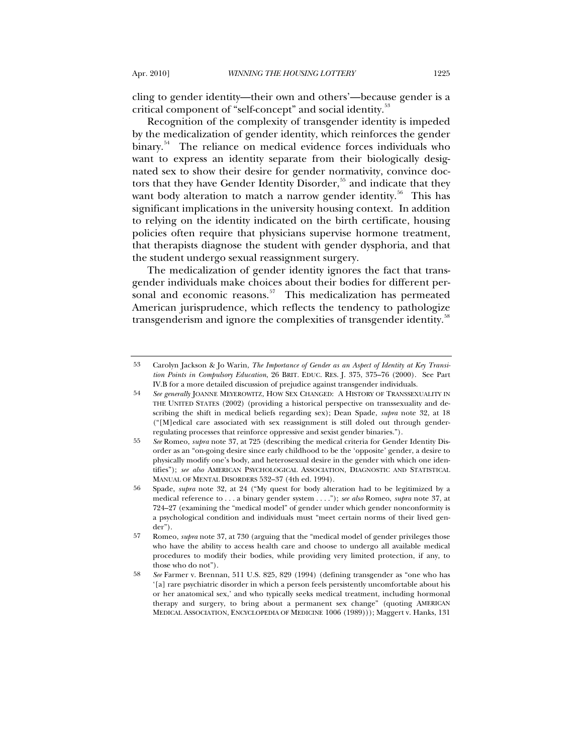cling to gender identity—their own and others'—because gender is a critical component of "self-concept" and social identity.<sup>[53](#page-10-0)</sup>

Recognition of the complexity of transgender identity is impeded by the medicalization of gender identity, which reinforces the gender binary.<sup>[54](#page-10-1)</sup> The reliance on medical evidence forces individuals who want to express an identity separate from their biologically designated sex to show their desire for gender normativity, convince doc-tors that they have Gender Identity Disorder,<sup>[55](#page-10-2)</sup> and indicate that they want body alteration to match a narrow gender identity.<sup>[56](#page-10-3)</sup> This has significant implications in the university housing context. In addition to relying on the identity indicated on the birth certificate, housing policies often require that physicians supervise hormone treatment, that therapists diagnose the student with gender dysphoria, and that the student undergo sexual reassignment surgery.

The medicalization of gender identity ignores the fact that transgender individuals make choices about their bodies for different per-sonal and economic reasons.<sup>[57](#page-10-4)</sup> This medicalization has permeated American jurisprudence, which reflects the tendency to pathologize transgenderism and ignore the complexities of transgender identity.<sup>[58](#page-10-5)</sup>

<span id="page-10-0"></span><sup>53</sup> Carolyn Jackson & Jo Warin, *The Importance of Gender as an Aspect of Identity at Key Transition Points in Compulsory Education*, 26 BRIT. EDUC. RES. J. 375, 375–76 (2000). See Part IV.B for a more detailed discussion of prejudice against transgender individuals.

<span id="page-10-1"></span><sup>54</sup> *See generally* JOANNE MEYEROWITZ, HOW SEX CHANGED: A HISTORY OF TRANSSEXUALITY IN THE UNITED STATES (2002) (providing a historical perspective on transsexuality and describing the shift in medical beliefs regarding sex); Dean Spade, *supra* note 32, at 18 ("[M]edical care associated with sex reassignment is still doled out through genderregulating processes that reinforce oppressive and sexist gender binaries.").

<span id="page-10-2"></span><sup>55</sup> *See* Romeo, *supra* note 37, at 725 (describing the medical criteria for Gender Identity Disorder as an "on-going desire since early childhood to be the 'opposite' gender, a desire to physically modify one's body, and heterosexual desire in the gender with which one identifies"); *see also* AMERICAN PSYCHOLOGICAL ASSOCIATION, DIAGNOSTIC AND STATISTICAL MANUAL OF MENTAL DISORDERS 532–37 (4th ed. 1994).

<span id="page-10-3"></span><sup>56</sup> Spade, *supra* note 32, at 24 ("My quest for body alteration had to be legitimized by a medical reference to . . . a binary gender system . . . ."); *see also* Romeo, *supra* note 37, at 724–27 (examining the "medical model" of gender under which gender nonconformity is a psychological condition and individuals must "meet certain norms of their lived gender").

<span id="page-10-4"></span><sup>57</sup> Romeo, *supra* note 37, at 730 (arguing that the "medical model of gender privileges those who have the ability to access health care and choose to undergo all available medical procedures to modify their bodies, while providing very limited protection, if any, to those who do not").

<span id="page-10-5"></span><sup>58</sup> *See* Farmer v. Brennan, 511 U.S. 825, 829 (1994) (defining transgender as "one who has '[a] rare psychiatric disorder in which a person feels persistently uncomfortable about his or her anatomical sex,' and who typically seeks medical treatment, including hormonal therapy and surgery, to bring about a permanent sex change" (quoting AMERICAN MEDICAL ASSOCIATION, ENCYCLOPEDIA OF MEDICINE 1006 (1989))); Maggert v. Hanks, 131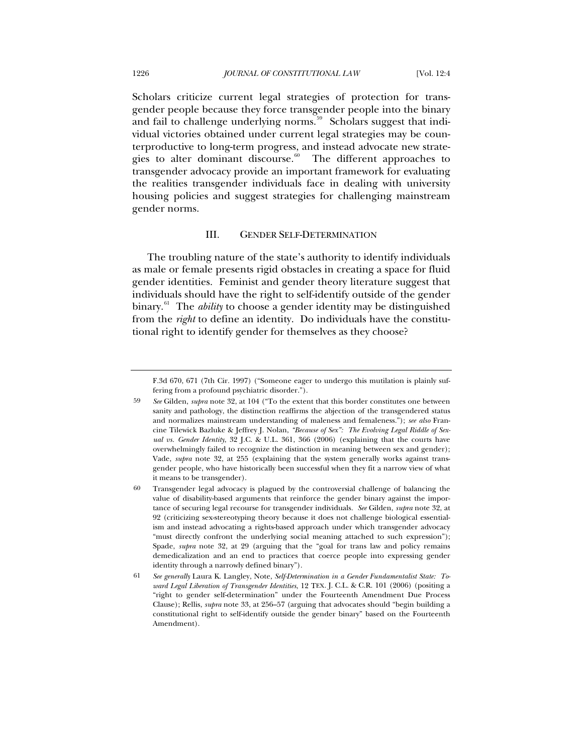Scholars criticize current legal strategies of protection for transgender people because they force transgender people into the binary and fail to challenge underlying norms. $59$  Scholars suggest that individual victories obtained under current legal strategies may be counterproductive to long-term progress, and instead advocate new strate-gies to alter dominant discourse.<sup>[60](#page-11-1)</sup> The different approaches to transgender advocacy provide an important framework for evaluating the realities transgender individuals face in dealing with university housing policies and suggest strategies for challenging mainstream gender norms.

### III. GENDER SELF-DETERMINATION

The troubling nature of the state's authority to identify individuals as male or female presents rigid obstacles in creating a space for fluid gender identities. Feminist and gender theory literature suggest that individuals should have the right to self-identify outside of the gender binary.<sup>[61](#page-11-2)</sup> The *ability* to choose a gender identity may be distinguished from the *right* to define an identity. Do individuals have the constitutional right to identify gender for themselves as they choose?

F.3d 670, 671 (7th Cir. 1997) ("Someone eager to undergo this mutilation is plainly suffering from a profound psychiatric disorder.").

<span id="page-11-0"></span><sup>59</sup> *See* Gilden, *supra* note 32, at 104 ("To the extent that this border constitutes one between sanity and pathology, the distinction reaffirms the abjection of the transgendered status and normalizes mainstream understanding of maleness and femaleness."); *see also* Francine Tilewick Bazluke & Jeffrey J. Nolan, *"Because of Sex": The Evolving Legal Riddle of Sexual vs. Gender Identity*, 32 J.C. & U.L. 361, 366 (2006) (explaining that the courts have overwhelmingly failed to recognize the distinction in meaning between sex and gender); Vade, *supra* note 32, at 255 (explaining that the system generally works against transgender people, who have historically been successful when they fit a narrow view of what it means to be transgender).

<span id="page-11-1"></span><sup>60</sup> Transgender legal advocacy is plagued by the controversial challenge of balancing the value of disability-based arguments that reinforce the gender binary against the importance of securing legal recourse for transgender individuals. *See* Gilden, *supra* note 32, at 92 (criticizing sex-stereotyping theory because it does not challenge biological essentialism and instead advocating a rights-based approach under which transgender advocacy "must directly confront the underlying social meaning attached to such expression"); Spade, *supra* note 32, at 29 (arguing that the "goal for trans law and policy remains demedicalization and an end to practices that coerce people into expressing gender identity through a narrowly defined binary").

<span id="page-11-2"></span><sup>61</sup> *See generally* Laura K. Langley, Note, *Self-Determination in a Gender Fundamentalist State: Toward Legal Liberation of Transgender Identities*, 12 TEX. J. C.L. & C.R. 101 (2006) (positing a "right to gender self-determination" under the Fourteenth Amendment Due Process Clause); Rellis, *supra* note 33, at 256–57 (arguing that advocates should "begin building a constitutional right to self-identify outside the gender binary" based on the Fourteenth Amendment).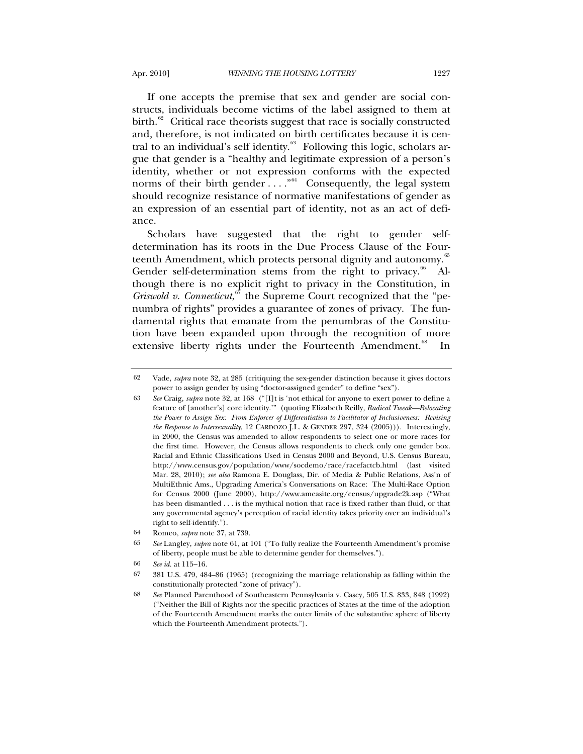If one accepts the premise that sex and gender are social constructs, individuals become victims of the label assigned to them at birth. $62$  Critical race theorists suggest that race is socially constructed and, therefore, is not indicated on birth certificates because it is cen-tral to an individual's self identity.<sup>[63](#page-12-1)</sup> Following this logic, scholars argue that gender is a "healthy and legitimate expression of a person's identity, whether or not expression conforms with the expected norms of their birth gender  $\ldots$ <sup>[64](#page-12-2)</sup> Consequently, the legal system should recognize resistance of normative manifestations of gender as an expression of an essential part of identity, not as an act of defiance.

Scholars have suggested that the right to gender selfdetermination has its roots in the Due Process Clause of the Four-teenth Amendment, which protects personal dignity and autonomy.<sup>[65](#page-12-3)</sup> Gender self-determination stems from the right to privacy. $66$  Although there is no explicit right to privacy in the Constitution, in Griswold v. Connecticut,<sup>[67](#page-12-5)</sup> the Supreme Court recognized that the "penumbra of rights" provides a guarantee of zones of privacy. The fundamental rights that emanate from the penumbras of the Constitution have been expanded upon through the recognition of more extensive liberty rights under the Fourteenth Amendment.<sup>[68](#page-12-6)</sup> In

<span id="page-12-0"></span><sup>62</sup> Vade, *supra* note 32, at 285 (critiquing the sex-gender distinction because it gives doctors power to assign gender by using "doctor-assigned gender" to define "sex").

<span id="page-12-1"></span><sup>63</sup> *See* Craig, *supra* note 32, at 168 ("[I]t is 'not ethical for anyone to exert power to define a feature of [another's] core identity.'" (quoting Elizabeth Reilly, *Radical Tweak—Relocating the Power to Assign Sex: From Enforcer of Differentiation to Facilitator of Inclusiveness: Revising the Response to Intersexuality*, 12 CARDOZO J.L. & GENDER 297, 324 (2005))). Interestingly, in 2000, the Census was amended to allow respondents to select one or more races for the first time. However, the Census allows respondents to check only one gender box. Racial and Ethnic Classifications Used in Census 2000 and Beyond, U.S. Census Bureau, http://www.census.gov/population/www/socdemo/race/racefactcb.html (last visited Mar. 28, 2010); *see also* Ramona E. Douglass, Dir. of Media & Public Relations, Ass'n of MultiEthnic Ams., Upgrading America's Conversations on Race: The Multi-Race Option for Census 2000 (June 2000), http://www.ameasite.org/census/upgrade2k.asp ("What has been dismantled  $\ldots$  is the mythical notion that race is fixed rather than fluid, or that any governmental agency's perception of racial identity takes priority over an individual's right to self-identify.").

<span id="page-12-2"></span><sup>64</sup> Romeo, *supra* note 37, at 739.

<span id="page-12-3"></span><sup>65</sup> *See* Langley, *supra* note 61, at 101 ("To fully realize the Fourteenth Amendment's promise of liberty, people must be able to determine gender for themselves.").

<sup>66</sup> *See id.* at 115–16.

<span id="page-12-6"></span><span id="page-12-5"></span><span id="page-12-4"></span><sup>67 381</sup> U.S. 479, 484–86 (1965) (recognizing the marriage relationship as falling within the constitutionally protected "zone of privacy").

<sup>68</sup> *See* Planned Parenthood of Southeastern Pennsylvania v. Casey, 505 U.S. 833, 848 (1992) ("Neither the Bill of Rights nor the specific practices of States at the time of the adoption of the Fourteenth Amendment marks the outer limits of the substantive sphere of liberty which the Fourteenth Amendment protects.").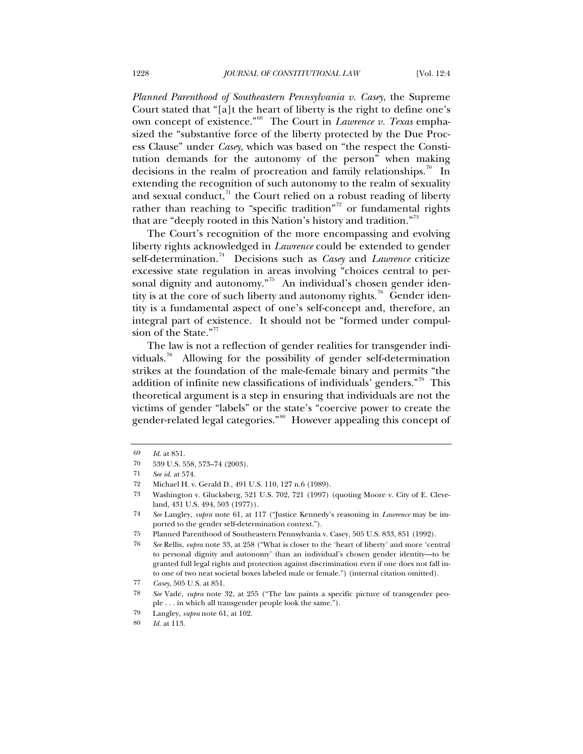*Planned Parenthood of Southeastern Pennsylvania v. Casey*, the Supreme Court stated that "[a]t the heart of liberty is the right to define one's own concept of existence."[69](#page-13-0) The Court in *Lawrence v. Texas* emphasized the "substantive force of the liberty protected by the Due Process Clause" under *Casey*, which was based on "the respect the Constitution demands for the autonomy of the person" when making decisions in the realm of procreation and family relationships.<sup>[70](#page-13-1)</sup> In extending the recognition of such autonomy to the realm of sexuality and sexual conduct, $\frac{71}{1}$  $\frac{71}{1}$  $\frac{71}{1}$  the Court relied on a robust reading of liberty rather than reaching to "specific tradition"<sup>[72](#page-13-3)</sup> or fundamental rights that are "deeply rooted in this Nation's history and tradition."[73](#page-13-4)

The Court's recognition of the more encompassing and evolving liberty rights acknowledged in *Lawrence* could be extended to gender self-determination.[74](#page-13-5) Decisions such as *Casey* and *Lawrence* criticize excessive state regulation in areas involving "choices central to per-sonal dignity and autonomy."<sup>[75](#page-13-6)</sup> An individual's chosen gender iden-tity is at the core of such liberty and autonomy rights.<sup>[76](#page-13-7)</sup> Gender identity is a fundamental aspect of one's self-concept and, therefore, an integral part of existence. It should not be "formed under compul-sion of the State."<sup>[77](#page-13-8)</sup>

The law is not a reflection of gender realities for transgender indi-viduals.<sup>[78](#page-13-9)</sup> Allowing for the possibility of gender self-determination strikes at the foundation of the male-female binary and permits "the addition of infinite new classifications of individuals' genders.<sup>"[79](#page-13-10)</sup> This theoretical argument is a step in ensuring that individuals are not the victims of gender "labels" or the state's "coercive power to create the gender-related legal categories."[80](#page-13-11) However appealing this concept of

<span id="page-13-1"></span><span id="page-13-0"></span><sup>69</sup> *Id.* at 851.

<sup>70 539</sup> U.S. 558, 573–74 (2003).

<span id="page-13-2"></span><sup>71</sup> *See id.* at 574.

<span id="page-13-4"></span><span id="page-13-3"></span><sup>72</sup> Michael H. v. Gerald D., 491 U.S. 110, 127 n.6 (1989).

<sup>73</sup> Washington v. Glucksberg, 521 U.S. 702, 721 (1997) (quoting Moore v. City of E. Cleveland, 431 U.S. 494, 503 (1977)).

<span id="page-13-5"></span><sup>74</sup> *See* Langley, *supra* note 61, at 117 ("Justice Kennedy's reasoning in *Lawrence* may be imported to the gender self-determination context.").

<sup>75</sup> Planned Parenthood of Southeastern Pennsylvania v. Casey, 505 U.S. 833, 851 (1992).

<span id="page-13-7"></span><span id="page-13-6"></span><sup>76</sup> *See* Rellis, *supra* note 33, at 258 ("What is closer to the 'heart of liberty' and more 'central to personal dignity and autonomy' than an individual's chosen gender identity—to be granted full legal rights and protection against discrimination even if one does not fall into one of two neat societal boxes labeled male or female.") (internal citation omitted).

<span id="page-13-9"></span><span id="page-13-8"></span><sup>77</sup> *Casey*, 505 U.S. at 851.

<sup>78</sup> *See* Vade, *supra* note 32, at 255 ("The law paints a specific picture of transgender people . . . in which all transgender people look the same.").

<span id="page-13-11"></span><span id="page-13-10"></span><sup>79</sup> Langley, *supra* note 61, at 102.

<sup>80</sup> *Id.* at 113.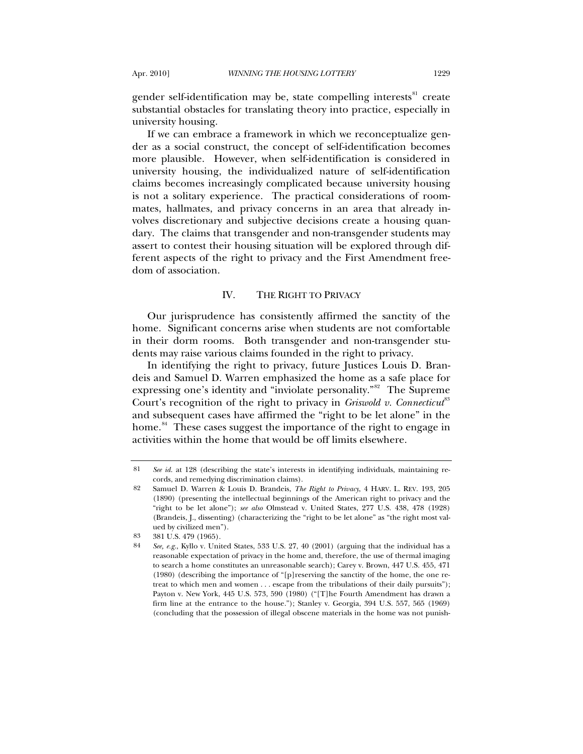gender self-identification may be, state compelling interests<sup>[81](#page-14-0)</sup> create substantial obstacles for translating theory into practice, especially in university housing.

If we can embrace a framework in which we reconceptualize gender as a social construct, the concept of self-identification becomes more plausible. However, when self-identification is considered in university housing, the individualized nature of self-identification claims becomes increasingly complicated because university housing is not a solitary experience. The practical considerations of roommates, hallmates, and privacy concerns in an area that already involves discretionary and subjective decisions create a housing quandary. The claims that transgender and non-transgender students may assert to contest their housing situation will be explored through different aspects of the right to privacy and the First Amendment freedom of association.

# IV. THE RIGHT TO PRIVACY

Our jurisprudence has consistently affirmed the sanctity of the home. Significant concerns arise when students are not comfortable in their dorm rooms. Both transgender and non-transgender students may raise various claims founded in the right to privacy.

In identifying the right to privacy, future Justices Louis D. Brandeis and Samuel D. Warren emphasized the home as a safe place for expressing one's identity and "inviolate personality."<sup>[82](#page-14-1)</sup> The Supreme Court's recognition of the right to privacy in *Griswold v. Connecticut*<sup>[83](#page-14-2)</sup> and subsequent cases have affirmed the "right to be let alone" in the home.<sup>[84](#page-14-3)</sup> These cases suggest the importance of the right to engage in activities within the home that would be off limits elsewhere.

<span id="page-14-0"></span><sup>81</sup> *See id.* at 128 (describing the state's interests in identifying individuals, maintaining records, and remedying discrimination claims).

<span id="page-14-1"></span><sup>82</sup> Samuel D. Warren & Louis D. Brandeis, *The Right to Privacy*, 4 HARV. L. REV. 193, 205 (1890) (presenting the intellectual beginnings of the American right to privacy and the "right to be let alone"); *see also* Olmstead v. United States, 277 U.S. 438, 478 (1928) (Brandeis, J., dissenting) (characterizing the "right to be let alone" as "the right most valued by civilized men").

<span id="page-14-3"></span><span id="page-14-2"></span><sup>83 381</sup> U.S. 479 (1965).

<sup>84</sup> *See, e.g.*, Kyllo v. United States, 533 U.S. 27, 40 (2001) (arguing that the individual has a reasonable expectation of privacy in the home and, therefore, the use of thermal imaging to search a home constitutes an unreasonable search); Carey v. Brown, 447 U.S. 455, 471 (1980) (describing the importance of "[p]reserving the sanctity of the home, the one retreat to which men and women . . . escape from the tribulations of their daily pursuits"); Payton v. New York, 445 U.S. 573, 590 (1980) ("[T]he Fourth Amendment has drawn a firm line at the entrance to the house."); Stanley v. Georgia, 394 U.S. 557, 565 (1969) (concluding that the possession of illegal obscene materials in the home was not punish-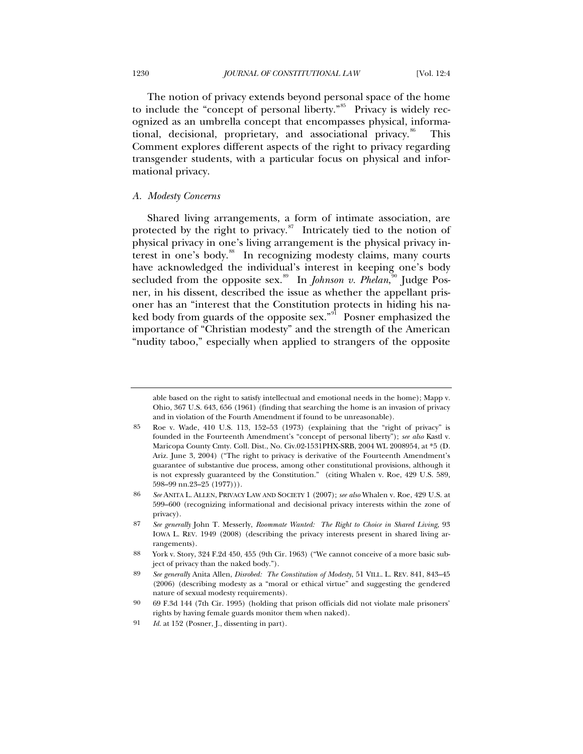The notion of privacy extends beyond personal space of the home to include the "concept of personal liberty."<sup>[85](#page-15-0)</sup> Privacy is widely recognized as an umbrella concept that encompasses physical, informa-tional, decisional, proprietary, and associational privacy.<sup>[86](#page-15-1)</sup> This Comment explores different aspects of the right to privacy regarding transgender students, with a particular focus on physical and informational privacy.

# *A. Modesty Concerns*

Shared living arrangements, a form of intimate association, are protected by the right to privacy. $s^7$  Intricately tied to the notion of physical privacy in one's living arrangement is the physical privacy in-terest in one's body.<sup>[88](#page-15-3)</sup> In recognizing modesty claims, many courts have acknowledged the individual's interest in keeping one's body secluded from the opposite sex.<sup>[89](#page-15-4)</sup> In *Johnson v. Phelan*,<sup>[90](#page-15-5)</sup> Judge Posner, in his dissent, described the issue as whether the appellant prisoner has an "interest that the Constitution protects in hiding his na-ked body from guards of the opposite sex."<sup>[91](#page-15-6)</sup> Posner emphasized the importance of "Christian modesty" and the strength of the American "nudity taboo," especially when applied to strangers of the opposite

able based on the right to satisfy intellectual and emotional needs in the home); Mapp v. Ohio, 367 U.S. 643, 656 (1961) (finding that searching the home is an invasion of privacy and in violation of the Fourth Amendment if found to be unreasonable).

<span id="page-15-0"></span><sup>85</sup> Roe v. Wade, 410 U.S. 113, 152–53 (1973) (explaining that the "right of privacy" is founded in the Fourteenth Amendment's "concept of personal liberty"); *see also* Kastl v. Maricopa County Cmty. Coll. Dist., No. Civ.02-1531PHX-SRB, 2004 WL 2008954, at \*5 (D. Ariz. June 3, 2004) ("The right to privacy is derivative of the Fourteenth Amendment's guarantee of substantive due process, among other constitutional provisions, although it is not expressly guaranteed by the Constitution." (citing Whalen v. Roe, 429 U.S. 589, 598–99 nn.23–25 (1977))).

<span id="page-15-1"></span><sup>86</sup> *See* ANITA L. ALLEN, PRIVACY LAW AND SOCIETY 1 (2007); *see also* Whalen v. Roe, 429 U.S. at 599–600 (recognizing informational and decisional privacy interests within the zone of privacy).

<span id="page-15-2"></span><sup>87</sup> *See generally* John T. Messerly, *Roommate Wanted: The Right to Choice in Shared Living*, 93 IOWA L. REV. 1949 (2008) (describing the privacy interests present in shared living arrangements).

<span id="page-15-3"></span><sup>88</sup> York v. Story, 324 F.2d 450, 455 (9th Cir. 1963) ("We cannot conceive of a more basic subject of privacy than the naked body.").

<span id="page-15-4"></span><sup>89</sup> *See generally* Anita Allen, *Disrobed: The Constitution of Modesty*, 51 VILL. L. REV. 841, 843–45 (2006) (describing modesty as a "moral or ethical virtue" and suggesting the gendered nature of sexual modesty requirements).

<span id="page-15-5"></span><sup>90 69</sup> F.3d 144 (7th Cir. 1995) (holding that prison officials did not violate male prisoners' rights by having female guards monitor them when naked).

<span id="page-15-6"></span><sup>91</sup> *Id.* at 152 (Posner, J., dissenting in part).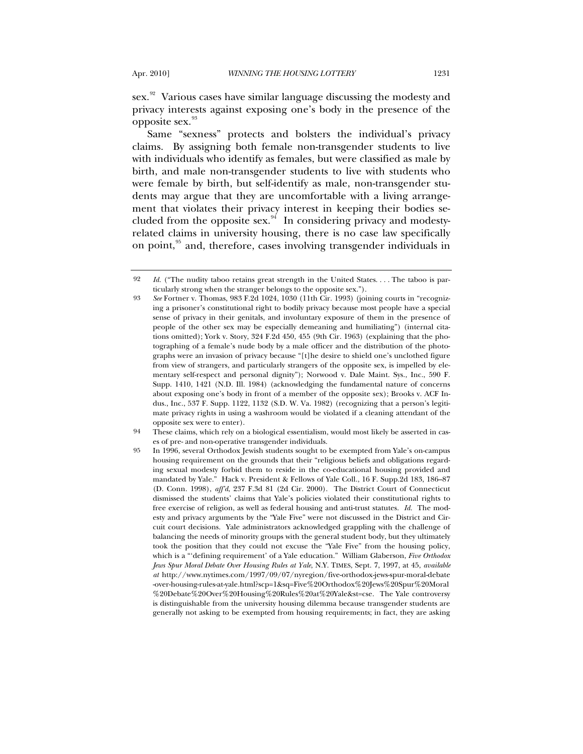sex.<sup>[92](#page-16-0)</sup> Various cases have similar language discussing the modesty and privacy interests against exposing one's body in the presence of the opposite sex. [93](#page-16-1)

Same "sexness" protects and bolsters the individual's privacy claims. By assigning both female non-transgender students to live with individuals who identify as females, but were classified as male by birth, and male non-transgender students to live with students who were female by birth, but self-identify as male, non-transgender students may argue that they are uncomfortable with a living arrangement that violates their privacy interest in keeping their bodies secluded from the opposite sex. $94$  In considering privacy and modestyrelated claims in university housing, there is no case law specifically on point,<sup>[95](#page-16-3)</sup> and, therefore, cases involving transgender individuals in

<span id="page-16-0"></span><sup>92</sup> *Id.* ("The nudity taboo retains great strength in the United States. . . . The taboo is particularly strong when the stranger belongs to the opposite sex.").

<span id="page-16-1"></span><sup>93</sup> *See* Fortner v. Thomas, 983 F.2d 1024, 1030 (11th Cir. 1993) (joining courts in "recognizing a prisoner's constitutional right to bodily privacy because most people have a special sense of privacy in their genitals, and involuntary exposure of them in the presence of people of the other sex may be especially demeaning and humiliating") (internal citations omitted); York v. Story, 324 F.2d 450, 455 (9th Cir. 1963) (explaining that the photographing of a female's nude body by a male officer and the distribution of the photographs were an invasion of privacy because "[t]he desire to shield one's unclothed figure from view of strangers, and particularly strangers of the opposite sex, is impelled by elementary self-respect and personal dignity"); Norwood v. Dale Maint. Sys., Inc., 590 F. Supp. 1410, 1421 (N.D. Ill. 1984) (acknowledging the fundamental nature of concerns about exposing one's body in front of a member of the opposite sex); Brooks v. ACF Indus., Inc., 537 F. Supp. 1122, 1132 (S.D. W. Va. 1982) (recognizing that a person's legitimate privacy rights in using a washroom would be violated if a cleaning attendant of the opposite sex were to enter).

<span id="page-16-2"></span><sup>94</sup> These claims, which rely on a biological essentialism, would most likely be asserted in cases of pre- and non-operative transgender individuals.

<span id="page-16-3"></span><sup>95</sup> In 1996, several Orthodox Jewish students sought to be exempted from Yale's on-campus housing requirement on the grounds that their "religious beliefs and obligations regarding sexual modesty forbid them to reside in the co-educational housing provided and mandated by Yale." Hack v. President & Fellows of Yale Coll., 16 F. Supp.2d 183, 186–87 (D. Conn. 1998), *aff'd*, 237 F.3d 81 (2d Cir. 2000). The District Court of Connecticut dismissed the students' claims that Yale's policies violated their constitutional rights to free exercise of religion, as well as federal housing and anti-trust statutes. *Id.* The modesty and privacy arguments by the "Yale Five" were not discussed in the District and Circuit court decisions. Yale administrators acknowledged grappling with the challenge of balancing the needs of minority groups with the general student body, but they ultimately took the position that they could not excuse the "Yale Five" from the housing policy, which is a "'defining requirement' of a Yale education." William Glaberson, *Five Orthodox Jews Spur Moral Debate Over Housing Rules at Yale*, N.Y. TIMES, Sept. 7, 1997, at 45, *available at* http://www.nytimes.com/1997/09/07/nyregion/five-orthodox-jews-spur-moral-debate -over-housing-rules-at-yale.html?scp=1&sq=Five%20Orthodox%20Jews%20Spur%20Moral %20Debate%20Over%20Housing%20Rules%20at%20Yale&st=cse. The Yale controversy is distinguishable from the university housing dilemma because transgender students are generally not asking to be exempted from housing requirements; in fact, they are asking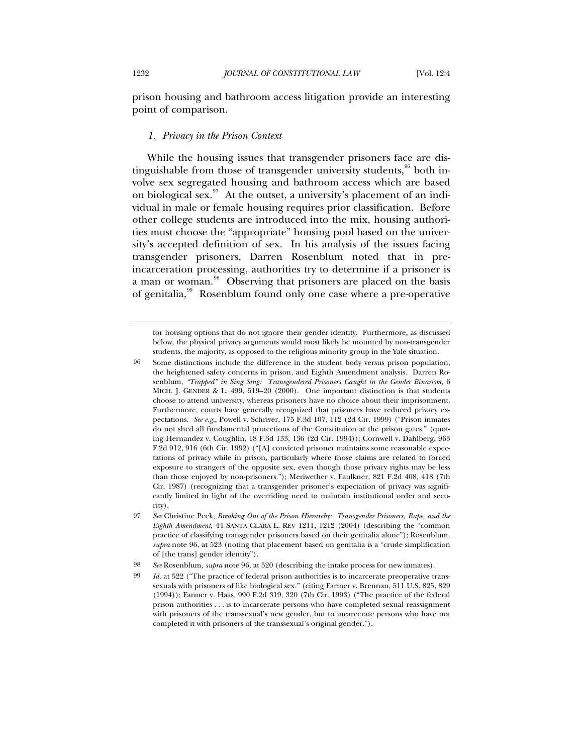prison housing and bathroom access litigation provide an interesting point of comparison.

# *1. Privacy in the Prison Context*

While the housing issues that transgender prisoners face are distinguishable from those of transgender university students,  $96$  both involve sex segregated housing and bathroom access which are based on biological sex.<sup>[97](#page-17-1)</sup> At the outset, a university's placement of an individual in male or female housing requires prior classification. Before other college students are introduced into the mix, housing authorities must choose the "appropriate" housing pool based on the university's accepted definition of sex. In his analysis of the issues facing transgender prisoners, Darren Rosenblum noted that in preincarceration processing, authorities try to determine if a prisoner is a man or woman.<sup>[98](#page-17-2)</sup> Observing that prisoners are placed on the basis of genitalia,<sup>[99](#page-17-3)</sup> Rosenblum found only one case where a pre-operative

for housing options that do not ignore their gender identity. Furthermore, as discussed below, the physical privacy arguments would most likely be mounted by non-transgender students, the majority, as opposed to the religious minority group in the Yale situation.

<span id="page-17-0"></span><sup>96</sup> Some distinctions include the difference in the student body versus prison population, the heightened safety concerns in prison, and Eighth Amendment analysis. Darren Rosenblum, *"Trapped" in Sing Sing: Transgendered Prisoners Caught in the Gender Binarism*, 6 MICH. J. GENDER & L. 499, 519–20 (2000). One important distinction is that students choose to attend university, whereas prisoners have no choice about their imprisonment. Furthermore, courts have generally recognized that prisoners have reduced privacy expectations. *See e.g.*, Powell v. Schriver, 175 F.3d 107, 112 (2d Cir. 1999) ("Prison inmates do not shed all fundamental protections of the Constitution at the prison gates." (quoting Hernandez v. Coughlin, 18 F.3d 133, 136 (2d Cir. 1994)); Cornwell v. Dahlberg, 963 F.2d 912, 916 (6th Cir. 1992) ("[A] convicted prisoner maintains some reasonable expectations of privacy while in prison, particularly where those claims are related to forced exposure to strangers of the opposite sex, even though those privacy rights may be less than those enjoyed by non-prisoners."); Meriwether v. Faulkner, 821 F.2d 408, 418 (7th Cir. 1987) (recognizing that a transgender prisoner's expectation of privacy was significantly limited in light of the overriding need to maintain institutional order and security).

<span id="page-17-1"></span><sup>97</sup> *See* Christine Peek, *Breaking Out of the Prison Hierarchy: Transgender Prisoners, Rape, and the Eighth Amendment*, 44 SANTA CLARA L. REV 1211, 1212 (2004) (describing the "common practice of classifying transgender prisoners based on their genitalia alone"); Rosenblum, *supra* note 96, at 523 (noting that placement based on genitalia is a "crude simplification of [the trans] gender identity").

<span id="page-17-3"></span><span id="page-17-2"></span><sup>98</sup> *See* Rosenblum, *supra* note 96, at 520 (describing the intake process for new inmates).

<sup>99</sup> *Id.* at 522 ("The practice of federal prison authorities is to incarcerate preoperative transsexuals with prisoners of like biological sex." (citing Farmer v. Brennan, 511 U.S. 825, 829 (1994)); Farmer v. Haas, 990 F.2d 319, 320 (7th Cir. 1993) ("The practice of the federal prison authorities . . . is to incarcerate persons who have completed sexual reassignment with prisoners of the transsexual's new gender, but to incarcerate persons who have not completed it with prisoners of the transsexual's original gender.").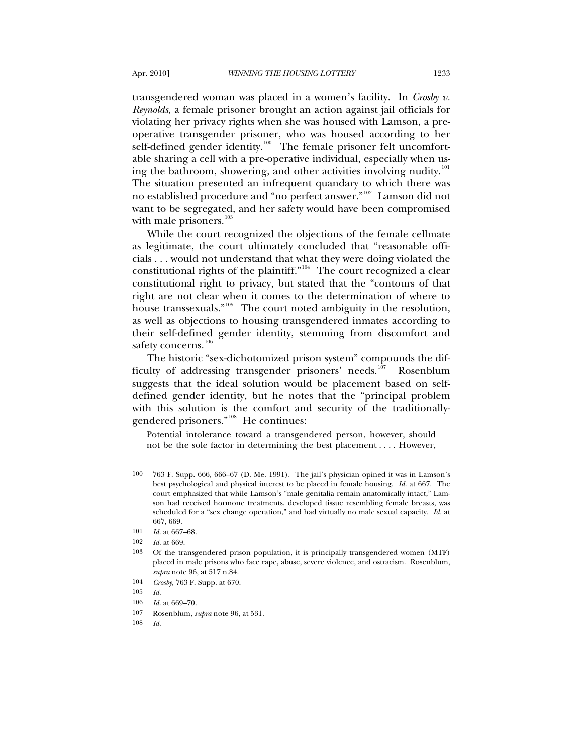transgendered woman was placed in a women's facility. In *Crosby v. Reynolds*, a female prisoner brought an action against jail officials for violating her privacy rights when she was housed with Lamson, a preoperative transgender prisoner, who was housed according to her self-defined gender identity.<sup>[100](#page-18-0)</sup> The female prisoner felt uncomfortable sharing a cell with a pre-operative individual, especially when us-ing the bathroom, showering, and other activities involving nudity.<sup>[101](#page-18-1)</sup> The situation presented an infrequent quandary to which there was no established procedure and "no perfect answer."[102](#page-18-2) Lamson did not want to be segregated, and her safety would have been compromised with male prisoners.<sup>[103](#page-18-3)</sup>

While the court recognized the objections of the female cellmate as legitimate, the court ultimately concluded that "reasonable officials . . . would not understand that what they were doing violated the constitutional rights of the plaintiff."<sup>[104](#page-18-4)</sup> The court recognized a clear constitutional right to privacy, but stated that the "contours of that right are not clear when it comes to the determination of where to house transsexuals."<sup>[105](#page-18-5)</sup> The court noted ambiguity in the resolution, as well as objections to housing transgendered inmates according to their self-defined gender identity, stemming from discomfort and safety concerns.<sup>[106](#page-18-6)</sup>

The historic "sex-dichotomized prison system" compounds the dif-ficulty of addressing transgender prisoners' needs.<sup>[107](#page-18-7)</sup> Rosenblum suggests that the ideal solution would be placement based on selfdefined gender identity, but he notes that the "principal problem with this solution is the comfort and security of the traditionally-gendered prisoners."<sup>[108](#page-18-8)</sup> He continues:

Potential intolerance toward a transgendered person, however, should not be the sole factor in determining the best placement . . . . However,

<span id="page-18-0"></span><sup>100 763</sup> F. Supp. 666, 666–67 (D. Me. 1991). The jail's physician opined it was in Lamson's best psychological and physical interest to be placed in female housing. *Id.* at 667. The court emphasized that while Lamson's "male genitalia remain anatomically intact," Lamson had received hormone treatments, developed tissue resembling female breasts, was scheduled for a "sex change operation," and had virtually no male sexual capacity. *Id.* at 667, 669.

<span id="page-18-1"></span><sup>101</sup> *Id.* at 667–68.

<sup>102</sup> *Id.* at 669.

<span id="page-18-3"></span><span id="page-18-2"></span><sup>103</sup> Of the transgendered prison population, it is principally transgendered women (MTF) placed in male prisons who face rape, abuse, severe violence, and ostracism. Rosenblum, *supra* note 96, at 517 n.84.

<sup>104</sup> *Crosby*, 763 F. Supp. at 670.

<span id="page-18-7"></span><span id="page-18-6"></span><span id="page-18-5"></span><span id="page-18-4"></span><sup>105</sup> *Id.*

<sup>106</sup> *Id.* at 669–70.

<sup>107</sup> Rosenblum, *supra* note 96, at 531.

<span id="page-18-8"></span><sup>108</sup> *Id.*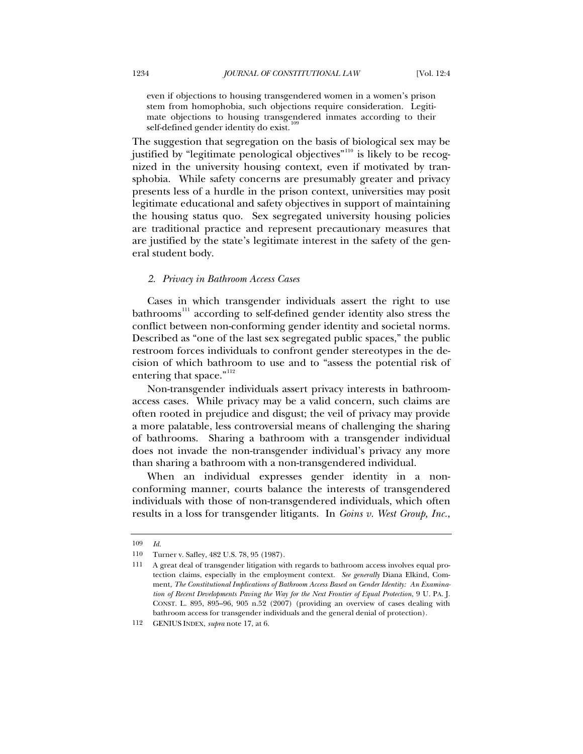even if objections to housing transgendered women in a women's prison stem from homophobia, such objections require consideration. Legitimate objections to housing transgendered inmates according to their self-defined gender identity do exist.<sup>1</sup>

The suggestion that segregation on the basis of biological sex may be justified by "legitimate penological objectives"<sup>[110](#page-19-1)</sup> is likely to be recognized in the university housing context, even if motivated by transphobia. While safety concerns are presumably greater and privacy presents less of a hurdle in the prison context, universities may posit legitimate educational and safety objectives in support of maintaining the housing status quo. Sex segregated university housing policies are traditional practice and represent precautionary measures that are justified by the state's legitimate interest in the safety of the general student body.

# *2. Privacy in Bathroom Access Cases*

Cases in which transgender individuals assert the right to use  $b$ athrooms<sup>[111](#page-19-2)</sup> according to self-defined gender identity also stress the conflict between non-conforming gender identity and societal norms. Described as "one of the last sex segregated public spaces," the public restroom forces individuals to confront gender stereotypes in the decision of which bathroom to use and to "assess the potential risk of entering that space."<sup>[112](#page-19-3)</sup>

Non-transgender individuals assert privacy interests in bathroomaccess cases. While privacy may be a valid concern, such claims are often rooted in prejudice and disgust; the veil of privacy may provide a more palatable, less controversial means of challenging the sharing of bathrooms. Sharing a bathroom with a transgender individual does not invade the non-transgender individual's privacy any more than sharing a bathroom with a non-transgendered individual.

When an individual expresses gender identity in a nonconforming manner, courts balance the interests of transgendered individuals with those of non-transgendered individuals, which often results in a loss for transgender litigants. In *Goins v. West Group, Inc.*,

<sup>109</sup> *Id.*

<span id="page-19-1"></span><span id="page-19-0"></span><sup>110</sup> Turner v. Safley, 482 U.S. 78, 95 (1987).

<span id="page-19-2"></span><sup>111</sup> A great deal of transgender litigation with regards to bathroom access involves equal protection claims, especially in the employment context. *See generally* Diana Elkind, Comment, *The Constitutional Implications of Bathroom Access Based on Gender Identity: An Examination of Recent Developments Paving the Way for the Next Frontier of Equal Protection*, 9 U. PA. J. CONST. L. 895, 895–96, 905 n.52 (2007) (providing an overview of cases dealing with bathroom access for transgender individuals and the general denial of protection).

<span id="page-19-3"></span><sup>112</sup> GENIUS INDEX, *supra* note 17, at 6.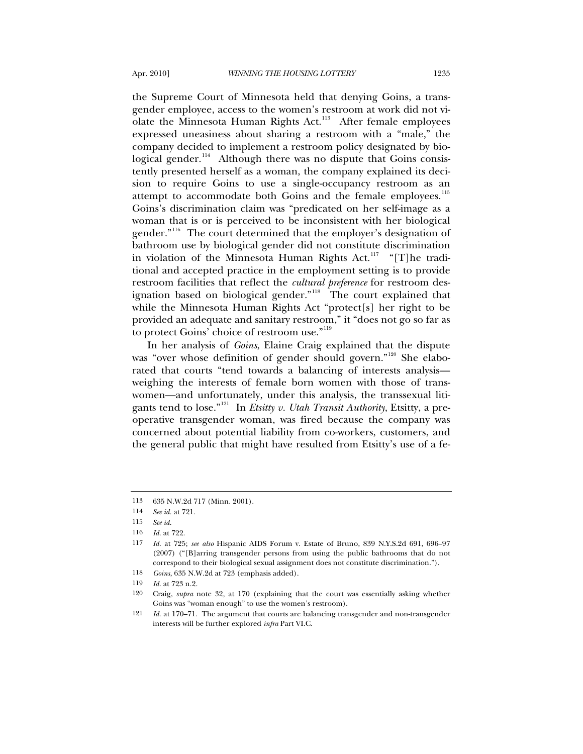the Supreme Court of Minnesota held that denying Goins, a transgender employee, access to the women's restroom at work did not vi-olate the Minnesota Human Rights Act.<sup>[113](#page-20-0)</sup> After female employees expressed uneasiness about sharing a restroom with a "male," the company decided to implement a restroom policy designated by bio-logical gender.<sup>[114](#page-20-1)</sup> Although there was no dispute that Goins consistently presented herself as a woman, the company explained its decision to require Goins to use a single-occupancy restroom as an attempt to accommodate both Goins and the female employees.<sup>[115](#page-20-2)</sup> Goins's discrimination claim was "predicated on her self-image as a woman that is or is perceived to be inconsistent with her biological gender."<sup>[116](#page-20-3)</sup> The court determined that the employer's designation of bathroom use by biological gender did not constitute discrimination in violation of the Minnesota Human Rights Act.[117](#page-20-4) "[T]he traditional and accepted practice in the employment setting is to provide restroom facilities that reflect the *cultural preference* for restroom des-ignation based on biological gender.<sup>"[118](#page-20-5)</sup> The court explained that while the Minnesota Human Rights Act "protect[s] her right to be provided an adequate and sanitary restroom," it "does not go so far as to protect Goins' choice of restroom use."<sup>[119](#page-20-6)</sup>

In her analysis of *Goins*, Elaine Craig explained that the dispute was "over whose definition of gender should govern."<sup>[120](#page-20-7)</sup> She elaborated that courts "tend towards a balancing of interests analysis weighing the interests of female born women with those of transwomen—and unfortunately, under this analysis, the transsexual litigants tend to lose."[121](#page-20-8) In *Etsitty v. Utah Transit Authority*, Etsitty, a preoperative transgender woman, was fired because the company was concerned about potential liability from co-workers, customers, and the general public that might have resulted from Etsitty's use of a fe-

<span id="page-20-1"></span><span id="page-20-0"></span><sup>113 635</sup> N.W.2d 717 (Minn. 2001).

<sup>114</sup> *See id.* at 721.

<span id="page-20-2"></span><sup>115</sup> *See id.*

<sup>116</sup> *Id.* at 722.

<span id="page-20-4"></span><span id="page-20-3"></span><sup>117</sup> *Id.* at 725; *see also* Hispanic AIDS Forum v. Estate of Bruno, 839 N.Y.S.2d 691, 696–97 (2007) ("[B]arring transgender persons from using the public bathrooms that do not correspond to their biological sexual assignment does not constitute discrimination.").

<sup>118</sup> *Goins*, 635 N.W.2d at 723 (emphasis added).

<span id="page-20-6"></span><span id="page-20-5"></span><sup>119</sup> *Id.* at 723 n.2.

<span id="page-20-7"></span><sup>120</sup> Craig, *supra* note 32, at 170 (explaining that the court was essentially asking whether Goins was "woman enough" to use the women's restroom).

<span id="page-20-8"></span><sup>121</sup> *Id.* at 170–71. The argument that courts are balancing transgender and non-transgender interests will be further explored *infra* Part VI.C.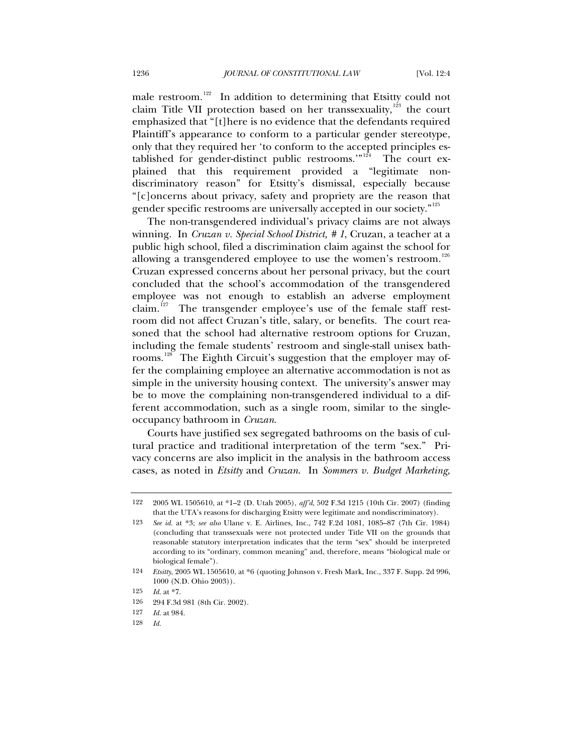male restroom.<sup>[122](#page-21-0)</sup> In addition to determining that Etsitty could not claim Title VII protection based on her transsexuality,  $123$  the court emphasized that "[t]here is no evidence that the defendants required Plaintiff's appearance to conform to a particular gender stereotype, only that they required her 'to conform to the accepted principles es-tablished for gender-distinct public restrooms."<sup>[124](#page-21-2)</sup> The court explained that this requirement provided a "legitimate nondiscriminatory reason" for Etsitty's dismissal, especially because "[c]oncerns about privacy, safety and propriety are the reason that gender specific restrooms are universally accepted in our society."<sup>[125](#page-21-3)</sup>

The non-transgendered individual's privacy claims are not always winning. In *Cruzan v. Special School District, # 1*, Cruzan, a teacher at a public high school, filed a discrimination claim against the school for allowing a transgendered employee to use the women's restroom.<sup>[126](#page-21-4)</sup> Cruzan expressed concerns about her personal privacy, but the court concluded that the school's accommodation of the transgendered employee was not enough to establish an adverse employment claim.<sup>[127](#page-21-5)</sup> The transgender employee's use of the female staff restroom did not affect Cruzan's title, salary, or benefits. The court reasoned that the school had alternative restroom options for Cruzan, including the female students' restroom and single-stall unisex bath-rooms.<sup>[128](#page-21-6)</sup> The Eighth Circuit's suggestion that the employer may offer the complaining employee an alternative accommodation is not as simple in the university housing context. The university's answer may be to move the complaining non-transgendered individual to a different accommodation, such as a single room, similar to the singleoccupancy bathroom in *Cruzan*.

Courts have justified sex segregated bathrooms on the basis of cultural practice and traditional interpretation of the term "sex." Privacy concerns are also implicit in the analysis in the bathroom access cases, as noted in *Etsitty* and *Cruzan*. In *Sommers v. Budget Marketing,* 

<span id="page-21-0"></span><sup>122 2005</sup> WL 1505610, at \*1–2 (D. Utah 2005), *aff'd*, 502 F.3d 1215 (10th Cir. 2007) (finding that the UTA's reasons for discharging Etsitty were legitimate and nondiscriminatory).

<span id="page-21-1"></span><sup>123</sup> *See id.* at \*3; *see also* Ulane v. E. Airlines, Inc., 742 F.2d 1081, 1085–87 (7th Cir. 1984) (concluding that transsexuals were not protected under Title VII on the grounds that reasonable statutory interpretation indicates that the term "sex" should be interpreted according to its "ordinary, common meaning" and, therefore, means "biological male or biological female").

<span id="page-21-2"></span><sup>124</sup> *Etsitty*, 2005 WL 1505610, at \*6 (quoting Johnson v. Fresh Mark, Inc., 337 F. Supp. 2d 996, 1000 (N.D. Ohio 2003)).

<sup>125</sup> *Id.* at \*7.

<span id="page-21-5"></span><span id="page-21-4"></span><span id="page-21-3"></span><sup>126 294</sup> F.3d 981 (8th Cir. 2002).

<span id="page-21-6"></span><sup>127</sup> *Id.* at 984.

<sup>128</sup> *Id.*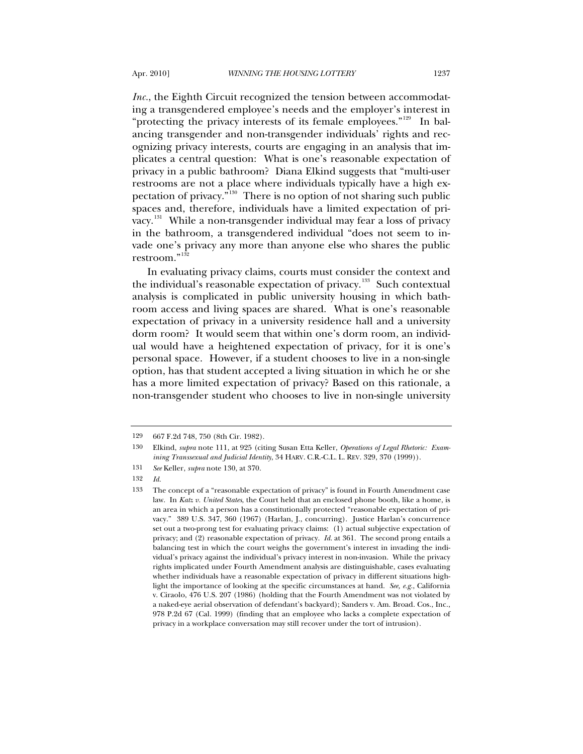*Inc.*, the Eighth Circuit recognized the tension between accommodating a transgendered employee's needs and the employer's interest in "protecting the privacy interests of its female employees."<sup>[129](#page-22-0)</sup> In balancing transgender and non-transgender individuals' rights and recognizing privacy interests, courts are engaging in an analysis that implicates a central question: What is one's reasonable expectation of privacy in a public bathroom? Diana Elkind suggests that "multi-user restrooms are not a place where individuals typically have a high expectation of privacy."[130](#page-22-1) There is no option of not sharing such public

spaces and, therefore, individuals have a limited expectation of pri-vacy.<sup>[131](#page-22-2)</sup> While a non-transgender individual may fear a loss of privacy in the bathroom, a transgendered individual "does not seem to invade one's privacy any more than anyone else who shares the public restroom."<sup>[132](#page-22-3)</sup>

In evaluating privacy claims, courts must consider the context and the individual's reasonable expectation of privacy.<sup>[133](#page-22-4)</sup> Such contextual analysis is complicated in public university housing in which bathroom access and living spaces are shared. What is one's reasonable expectation of privacy in a university residence hall and a university dorm room? It would seem that within one's dorm room, an individual would have a heightened expectation of privacy, for it is one's personal space. However, if a student chooses to live in a non-single option, has that student accepted a living situation in which he or she has a more limited expectation of privacy? Based on this rationale, a non-transgender student who chooses to live in non-single university

<span id="page-22-0"></span><sup>129 667</sup> F.2d 748, 750 (8th Cir. 1982).

<span id="page-22-1"></span><sup>130</sup> Elkind, *supra* note 111, at 925 (citing Susan Etta Keller, *Operations of Legal Rhetoric: Examining Transsexual and Judicial Identity*, 34 HARV. C.R.-C.L. L. REV. 329, 370 (1999)).

<span id="page-22-2"></span><sup>131</sup> *See* Keller, *supra* note 130, at 370.

<span id="page-22-3"></span><sup>132</sup> *Id.*

<span id="page-22-4"></span><sup>133</sup> The concept of a "reasonable expectation of privacy" is found in Fourth Amendment case law. In *Katz v. United States*, the Court held that an enclosed phone booth, like a home, is an area in which a person has a constitutionally protected "reasonable expectation of privacy." 389 U.S. 347, 360 (1967) (Harlan, J., concurring). Justice Harlan's concurrence set out a two-prong test for evaluating privacy claims: (1) actual subjective expectation of privacy; and (2) reasonable expectation of privacy. *Id.* at 361. The second prong entails a balancing test in which the court weighs the government's interest in invading the individual's privacy against the individual's privacy interest in non-invasion. While the privacy rights implicated under Fourth Amendment analysis are distinguishable, cases evaluating whether individuals have a reasonable expectation of privacy in different situations highlight the importance of looking at the specific circumstances at hand. *See, e.g.*, California v. Ciraolo, 476 U.S. 207 (1986) (holding that the Fourth Amendment was not violated by a naked-eye aerial observation of defendant's backyard); Sanders v. Am. Broad. Cos., Inc., 978 P.2d 67 (Cal. 1999) (finding that an employee who lacks a complete expectation of privacy in a workplace conversation may still recover under the tort of intrusion).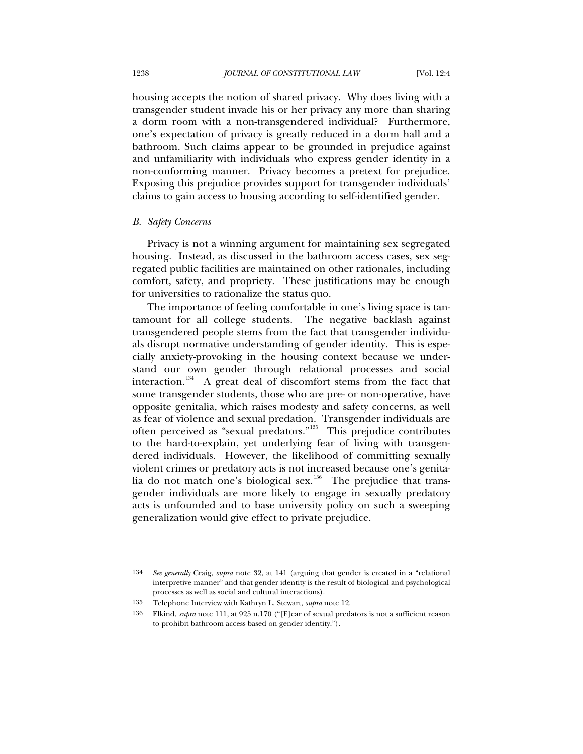housing accepts the notion of shared privacy. Why does living with a transgender student invade his or her privacy any more than sharing a dorm room with a non-transgendered individual? Furthermore, one's expectation of privacy is greatly reduced in a dorm hall and a bathroom. Such claims appear to be grounded in prejudice against and unfamiliarity with individuals who express gender identity in a non-conforming manner. Privacy becomes a pretext for prejudice. Exposing this prejudice provides support for transgender individuals' claims to gain access to housing according to self-identified gender.

#### *B. Safety Concerns*

Privacy is not a winning argument for maintaining sex segregated housing. Instead, as discussed in the bathroom access cases, sex segregated public facilities are maintained on other rationales, including comfort, safety, and propriety. These justifications may be enough for universities to rationalize the status quo.

The importance of feeling comfortable in one's living space is tantamount for all college students. The negative backlash against transgendered people stems from the fact that transgender individuals disrupt normative understanding of gender identity. This is especially anxiety-provoking in the housing context because we understand our own gender through relational processes and social interaction.<sup>[134](#page-23-0)</sup> A great deal of discomfort stems from the fact that some transgender students, those who are pre- or non-operative, have opposite genitalia, which raises modesty and safety concerns, as well as fear of violence and sexual predation. Transgender individuals are often perceived as "sexual predators."<sup>[135](#page-23-1)</sup> This prejudice contributes to the hard-to-explain, yet underlying fear of living with transgendered individuals. However, the likelihood of committing sexually violent crimes or predatory acts is not increased because one's genita-lia do not match one's biological sex.<sup>[136](#page-23-2)</sup> The prejudice that transgender individuals are more likely to engage in sexually predatory acts is unfounded and to base university policy on such a sweeping generalization would give effect to private prejudice.

<span id="page-23-0"></span><sup>134</sup> *See generally* Craig, *supra* note 32, at 141 (arguing that gender is created in a "relational interpretive manner" and that gender identity is the result of biological and psychological processes as well as social and cultural interactions).

<span id="page-23-1"></span><sup>135</sup> Telephone Interview with Kathryn L. Stewart, *supra* note 12.

<span id="page-23-2"></span><sup>136</sup> Elkind, *supra* note 111, at 925 n.170 ("[F]ear of sexual predators is not a sufficient reason to prohibit bathroom access based on gender identity.").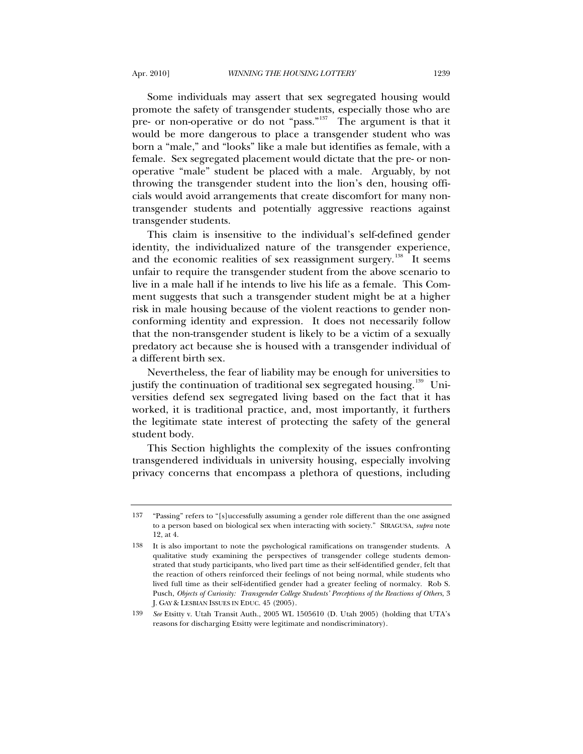Some individuals may assert that sex segregated housing would promote the safety of transgender students, especially those who are pre- or non-operative or do not "pass."<sup>[137](#page-24-0)</sup> The argument is that it would be more dangerous to place a transgender student who was born a "male," and "looks" like a male but identifies as female, with a female. Sex segregated placement would dictate that the pre- or nonoperative "male" student be placed with a male. Arguably, by not throwing the transgender student into the lion's den, housing officials would avoid arrangements that create discomfort for many nontransgender students and potentially aggressive reactions against transgender students.

This claim is insensitive to the individual's self-defined gender identity, the individualized nature of the transgender experience, and the economic realities of sex reassignment surgery.<sup>[138](#page-24-1)</sup> It seems unfair to require the transgender student from the above scenario to live in a male hall if he intends to live his life as a female. This Comment suggests that such a transgender student might be at a higher risk in male housing because of the violent reactions to gender nonconforming identity and expression. It does not necessarily follow that the non-transgender student is likely to be a victim of a sexually predatory act because she is housed with a transgender individual of a different birth sex.

Nevertheless, the fear of liability may be enough for universities to justify the continuation of traditional sex segregated housing.<sup>[139](#page-24-2)</sup> Universities defend sex segregated living based on the fact that it has worked, it is traditional practice, and, most importantly, it furthers the legitimate state interest of protecting the safety of the general student body.

This Section highlights the complexity of the issues confronting transgendered individuals in university housing, especially involving privacy concerns that encompass a plethora of questions, including

<span id="page-24-0"></span><sup>137 &</sup>quot;Passing" refers to "[s]uccessfully assuming a gender role different than the one assigned to a person based on biological sex when interacting with society." SIRAGUSA, *supra* note 12, at 4.

<span id="page-24-1"></span><sup>138</sup> It is also important to note the psychological ramifications on transgender students. A qualitative study examining the perspectives of transgender college students demonstrated that study participants, who lived part time as their self-identified gender, felt that the reaction of others reinforced their feelings of not being normal, while students who lived full time as their self-identified gender had a greater feeling of normalcy. Rob S. Pusch, *Objects of Curiosity: Transgender College Students' Perceptions of the Reactions of Others*, 3 J. GAY & LESBIAN ISSUES IN EDUC. 45 (2005).

<span id="page-24-2"></span><sup>139</sup> *See* Etsitty v. Utah Transit Auth., 2005 WL 1505610 (D. Utah 2005) (holding that UTA's reasons for discharging Etsitty were legitimate and nondiscriminatory).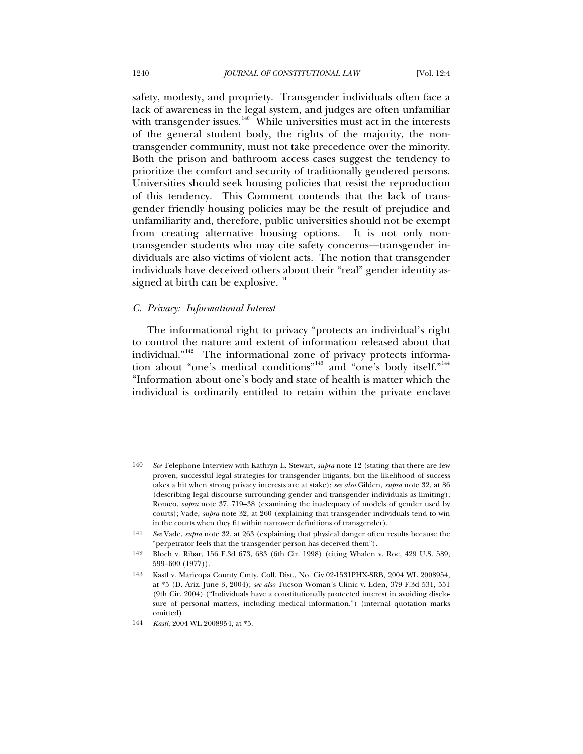safety, modesty, and propriety. Transgender individuals often face a lack of awareness in the legal system, and judges are often unfamiliar with transgender issues. $140$  While universities must act in the interests of the general student body, the rights of the majority, the nontransgender community, must not take precedence over the minority. Both the prison and bathroom access cases suggest the tendency to prioritize the comfort and security of traditionally gendered persons. Universities should seek housing policies that resist the reproduction of this tendency. This Comment contends that the lack of transgender friendly housing policies may be the result of prejudice and unfamiliarity and, therefore, public universities should not be exempt from creating alternative housing options. It is not only nontransgender students who may cite safety concerns—transgender individuals are also victims of violent acts. The notion that transgender individuals have deceived others about their "real" gender identity assigned at birth can be explosive. $141$ 

# *C. Privacy: Informational Interest*

The informational right to privacy "protects an individual's right to control the nature and extent of information released about that individual."<sup>[142](#page-25-2)</sup> The informational zone of privacy protects informa-tion about "one's medical conditions"<sup>[143](#page-25-3)</sup> and "one's body itself."<sup>[144](#page-25-4)</sup> "Information about one's body and state of health is matter which the individual is ordinarily entitled to retain within the private enclave

<span id="page-25-0"></span><sup>140</sup> *See* Telephone Interview with Kathryn L. Stewart, *supra* note 12 (stating that there are few proven, successful legal strategies for transgender litigants, but the likelihood of success takes a hit when strong privacy interests are at stake); *see also* Gilden, *supra* note 32, at 86 (describing legal discourse surrounding gender and transgender individuals as limiting); Romeo, *supra* note 37, 719–38 (examining the inadequacy of models of gender used by courts); Vade, *supra* note 32, at 260 (explaining that transgender individuals tend to win in the courts when they fit within narrower definitions of transgender).

<span id="page-25-1"></span><sup>141</sup> *See* Vade, *supra* note 32, at 263 (explaining that physical danger often results because the "perpetrator feels that the transgender person has deceived them").

<span id="page-25-2"></span><sup>142</sup> Bloch v. Ribar, 156 F.3d 673, 683 (6th Cir. 1998) (citing Whalen v. Roe, 429 U.S. 589, 599–600 (1977)).

<span id="page-25-3"></span><sup>143</sup> Kastl v. Maricopa County Cmty. Coll. Dist., No. Civ.02-1531PHX-SRB, 2004 WL 2008954, at \*5 (D. Ariz. June 3, 2004); *see also* Tucson Woman's Clinic v. Eden, 379 F.3d 531, 551 (9th Cir. 2004) ("Individuals have a constitutionally protected interest in avoiding disclosure of personal matters, including medical information.") (internal quotation marks omitted).

<span id="page-25-4"></span><sup>144</sup> *Kastl*, 2004 WL 2008954, at \*5.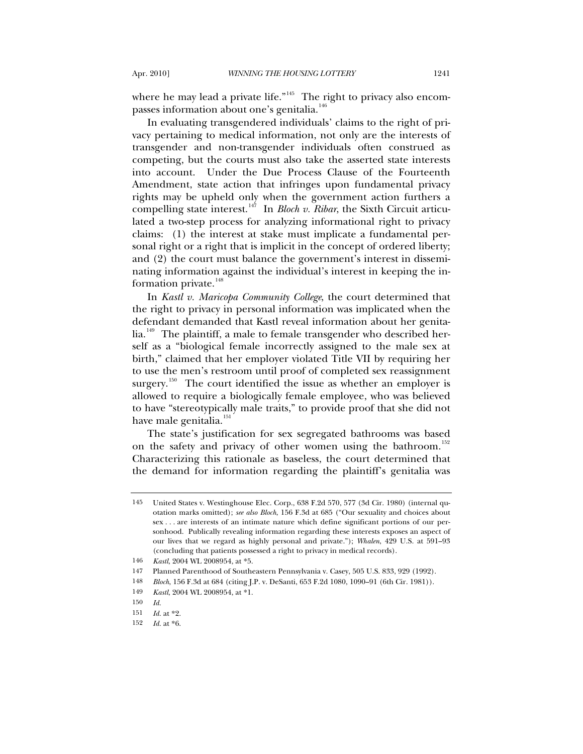where he may lead a private life."<sup>[145](#page-26-0)</sup> The right to privacy also encom-passes information about one's genitalia.<sup>[146](#page-26-1)</sup>

In evaluating transgendered individuals' claims to the right of privacy pertaining to medical information, not only are the interests of transgender and non-transgender individuals often construed as competing, but the courts must also take the asserted state interests into account. Under the Due Process Clause of the Fourteenth Amendment, state action that infringes upon fundamental privacy rights may be upheld only when the government action furthers a compelling state interest.<sup>[147](#page-26-2)</sup> In *Bloch v. Ribar*, the Sixth Circuit articulated a two-step process for analyzing informational right to privacy claims: (1) the interest at stake must implicate a fundamental personal right or a right that is implicit in the concept of ordered liberty; and (2) the court must balance the government's interest in disseminating information against the individual's interest in keeping the in-formation private.<sup>[148](#page-26-3)</sup>

In *Kastl v. Maricopa Community College*, the court determined that the right to privacy in personal information was implicated when the defendant demanded that Kastl reveal information about her genita- $lia.<sup>149</sup>$  $lia.<sup>149</sup>$  $lia.<sup>149</sup>$  The plaintiff, a male to female transgender who described herself as a "biological female incorrectly assigned to the male sex at birth," claimed that her employer violated Title VII by requiring her to use the men's restroom until proof of completed sex reassignment surgery.<sup>[150](#page-26-5)</sup> The court identified the issue as whether an employer is allowed to require a biologically female employee, who was believed to have "stereotypically male traits," to provide proof that she did not have male genitalia.<sup>[151](#page-26-6)</sup>

The state's justification for sex segregated bathrooms was based on the safety and privacy of other women using the bathroom.<sup>[152](#page-26-7)</sup> Characterizing this rationale as baseless, the court determined that the demand for information regarding the plaintiff's genitalia was

<span id="page-26-0"></span><sup>145</sup> United States v. Westinghouse Elec. Corp., 638 F.2d 570, 577 (3d Cir. 1980) (internal quotation marks omitted); *see also Bloch*, 156 F.3d at 685 ("Our sexuality and choices about sex . . . are interests of an intimate nature which define significant portions of our personhood. Publically revealing information regarding these interests exposes an aspect of our lives that we regard as highly personal and private."); *Whalen*, 429 U.S. at 591–93 (concluding that patients possessed a right to privacy in medical records).

<sup>146</sup> *Kastl*, 2004 WL 2008954, at \*5.

<span id="page-26-3"></span><span id="page-26-2"></span><span id="page-26-1"></span><sup>147</sup> Planned Parenthood of Southeastern Pennsylvania v. Casey, 505 U.S. 833, 929 (1992).

<sup>148</sup> *Bloch*, 156 F.3d at 684 (citing J.P. v. DeSanti, 653 F.2d 1080, 1090–91 (6th Cir. 1981)).

<sup>149</sup> *Kastl*, 2004 WL 2008954, at \*1.

<span id="page-26-4"></span><sup>150</sup> *Id.*

<span id="page-26-7"></span><span id="page-26-6"></span><span id="page-26-5"></span><sup>151</sup> *Id.* at \*2.

<sup>152</sup> *Id.* at \*6.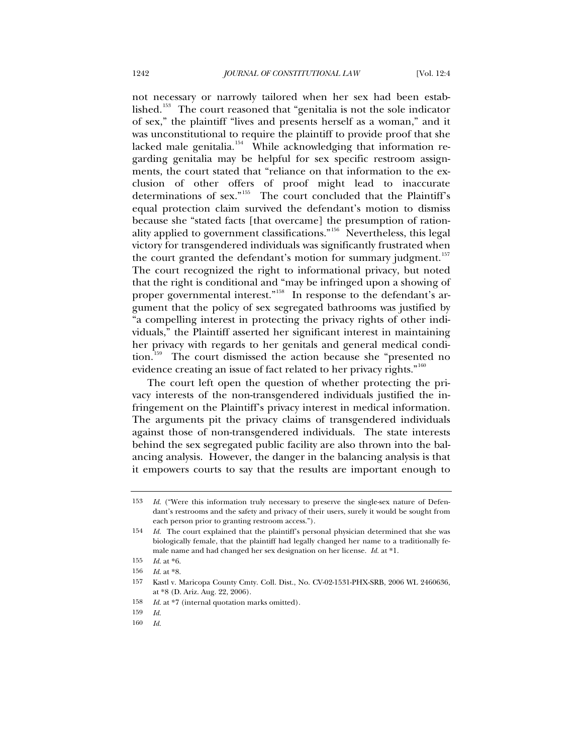not necessary or narrowly tailored when her sex had been estab-lished.<sup>[153](#page-27-0)</sup> The court reasoned that "genitalia is not the sole indicator" of sex," the plaintiff "lives and presents herself as a woman," and it was unconstitutional to require the plaintiff to provide proof that she lacked male genitalia.<sup>[154](#page-27-1)</sup> While acknowledging that information regarding genitalia may be helpful for sex specific restroom assignments, the court stated that "reliance on that information to the exclusion of other offers of proof might lead to inaccurate determinations of sex."<sup>[155](#page-27-2)</sup> The court concluded that the Plaintiff's equal protection claim survived the defendant's motion to dismiss because she "stated facts [that overcame] the presumption of rationality applied to government classifications."[156](#page-27-3) Nevertheless, this legal victory for transgendered individuals was significantly frustrated when the court granted the defendant's motion for summary judgment.<sup>[157](#page-27-4)</sup> The court recognized the right to informational privacy, but noted that the right is conditional and "may be infringed upon a showing of proper governmental interest."<sup>[158](#page-27-5)</sup> In response to the defendant's argument that the policy of sex segregated bathrooms was justified by "a compelling interest in protecting the privacy rights of other individuals," the Plaintiff asserted her significant interest in maintaining her privacy with regards to her genitals and general medical condi-tion.<sup>[159](#page-27-6)</sup> The court dismissed the action because she "presented no evidence creating an issue of fact related to her privacy rights."<sup>[160](#page-27-7)</sup>

The court left open the question of whether protecting the privacy interests of the non-transgendered individuals justified the infringement on the Plaintiff's privacy interest in medical information. The arguments pit the privacy claims of transgendered individuals against those of non-transgendered individuals. The state interests behind the sex segregated public facility are also thrown into the balancing analysis. However, the danger in the balancing analysis is that it empowers courts to say that the results are important enough to

160 *Id.*

<span id="page-27-0"></span><sup>153</sup> *Id.* ("Were this information truly necessary to preserve the single-sex nature of Defendant's restrooms and the safety and privacy of their users, surely it would be sought from each person prior to granting restroom access.").

<span id="page-27-1"></span><sup>154</sup> *Id.* The court explained that the plaintiff's personal physician determined that she was biologically female, that the plaintiff had legally changed her name to a traditionally female name and had changed her sex designation on her license. *Id.* at \*1.

<span id="page-27-2"></span><sup>155</sup> *Id.* at \*6.

<sup>156</sup> *Id.* at \*8.

<span id="page-27-4"></span><span id="page-27-3"></span><sup>157</sup> Kastl v. Maricopa County Cmty. Coll. Dist., No. CV-02-1531-PHX-SRB, 2006 WL 2460636, at \*8 (D. Ariz. Aug. 22, 2006).

<span id="page-27-5"></span><sup>158</sup> *Id.* at \*7 (internal quotation marks omitted).

<span id="page-27-7"></span><span id="page-27-6"></span><sup>159</sup> *Id.*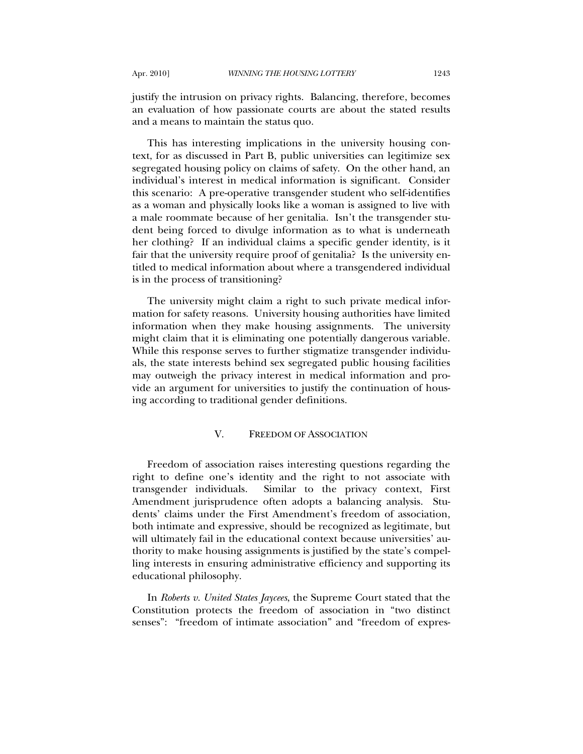justify the intrusion on privacy rights. Balancing, therefore, becomes an evaluation of how passionate courts are about the stated results and a means to maintain the status quo.

This has interesting implications in the university housing context, for as discussed in Part B, public universities can legitimize sex segregated housing policy on claims of safety. On the other hand, an individual's interest in medical information is significant. Consider this scenario: A pre-operative transgender student who self-identifies as a woman and physically looks like a woman is assigned to live with a male roommate because of her genitalia. Isn't the transgender student being forced to divulge information as to what is underneath her clothing? If an individual claims a specific gender identity, is it fair that the university require proof of genitalia? Is the university entitled to medical information about where a transgendered individual is in the process of transitioning?

The university might claim a right to such private medical information for safety reasons. University housing authorities have limited information when they make housing assignments. The university might claim that it is eliminating one potentially dangerous variable. While this response serves to further stigmatize transgender individuals, the state interests behind sex segregated public housing facilities may outweigh the privacy interest in medical information and provide an argument for universities to justify the continuation of housing according to traditional gender definitions.

# V. FREEDOM OF ASSOCIATION

Freedom of association raises interesting questions regarding the right to define one's identity and the right to not associate with transgender individuals. Similar to the privacy context, First Amendment jurisprudence often adopts a balancing analysis. Students' claims under the First Amendment's freedom of association, both intimate and expressive, should be recognized as legitimate, but will ultimately fail in the educational context because universities' authority to make housing assignments is justified by the state's compelling interests in ensuring administrative efficiency and supporting its educational philosophy.

In *Roberts v. United States Jaycees*, the Supreme Court stated that the Constitution protects the freedom of association in "two distinct senses": "freedom of intimate association" and "freedom of expres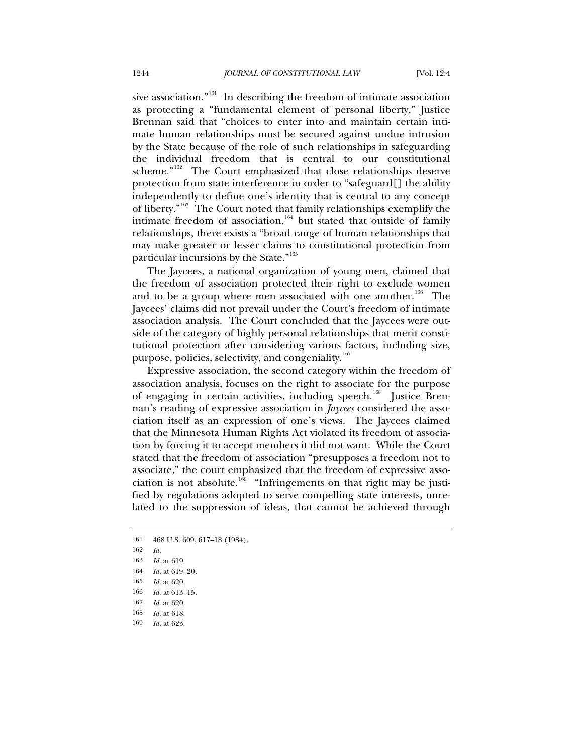sive association."<sup>[161](#page-29-0)</sup> In describing the freedom of intimate association as protecting a "fundamental element of personal liberty," Justice Brennan said that "choices to enter into and maintain certain intimate human relationships must be secured against undue intrusion by the State because of the role of such relationships in safeguarding the individual freedom that is central to our constitutional scheme."<sup>[162](#page-29-1)</sup> The Court emphasized that close relationships deserve protection from state interference in order to "safeguard[] the ability independently to define one's identity that is central to any concept of liberty."[163](#page-29-2) The Court noted that family relationships exemplify the intimate freedom of association, $164$  but stated that outside of family relationships, there exists a "broad range of human relationships that may make greater or lesser claims to constitutional protection from particular incursions by the State."<sup>[165](#page-29-4)</sup>

The Jaycees, a national organization of young men, claimed that the freedom of association protected their right to exclude women and to be a group where men associated with one another.<sup>[166](#page-29-5)</sup> The Jaycees' claims did not prevail under the Court's freedom of intimate association analysis. The Court concluded that the Jaycees were outside of the category of highly personal relationships that merit constitutional protection after considering various factors, including size, purpose, policies, selectivity, and congeniality.<sup>[167](#page-29-6)</sup>

Expressive association, the second category within the freedom of association analysis, focuses on the right to associate for the purpose of engaging in certain activities, including speech.<sup>[168](#page-29-7)</sup> Justice Brennan's reading of expressive association in *Jaycees* considered the association itself as an expression of one's views. The Jaycees claimed that the Minnesota Human Rights Act violated its freedom of association by forcing it to accept members it did not want. While the Court stated that the freedom of association "presupposes a freedom not to associate," the court emphasized that the freedom of expressive asso-ciation is not absolute.<sup>[169](#page-29-8)</sup> "Infringements on that right may be justified by regulations adopted to serve compelling state interests, unrelated to the suppression of ideas, that cannot be achieved through

<span id="page-29-0"></span><sup>161 468</sup> U.S. 609, 617–18 (1984).

<span id="page-29-1"></span><sup>162</sup> *Id.*

<span id="page-29-2"></span><sup>163</sup> *Id.* at 619.

<span id="page-29-3"></span><sup>164</sup> *Id.* at 619–20.

<span id="page-29-4"></span><sup>165</sup> *Id.* at 620.

<span id="page-29-5"></span><sup>166</sup> *Id.* at 613–15.

<span id="page-29-6"></span><sup>167</sup> *Id.* at 620.

<span id="page-29-7"></span><sup>168</sup> *Id.* at 618.

<span id="page-29-8"></span><sup>169</sup> *Id.* at 623.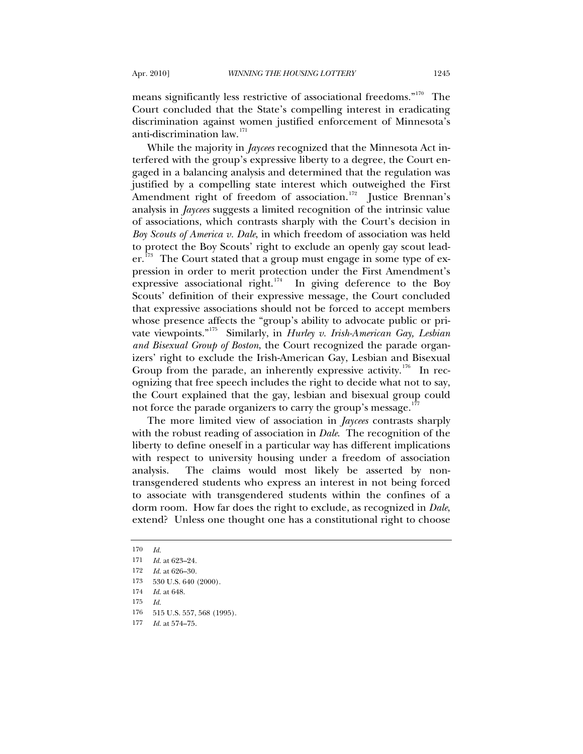means significantly less restrictive of associational freedoms."<sup>[170](#page-30-0)</sup> The Court concluded that the State's compelling interest in eradicating discrimination against women justified enforcement of Minnesota's anti-discrimination law.<sup>[171](#page-30-1)</sup>

While the majority in *Jaycees* recognized that the Minnesota Act interfered with the group's expressive liberty to a degree, the Court engaged in a balancing analysis and determined that the regulation was justified by a compelling state interest which outweighed the First Amendment right of freedom of association.<sup>[172](#page-30-2)</sup> Justice Brennan's analysis in *Jaycees* suggests a limited recognition of the intrinsic value of associations, which contrasts sharply with the Court's decision in *Boy Scouts of America v. Dale*, in which freedom of association was held to protect the Boy Scouts' right to exclude an openly gay scout lead- $er.^{173}$  $er.^{173}$  $er.^{173}$  The Court stated that a group must engage in some type of expression in order to merit protection under the First Amendment's expressive associational right.<sup>[174](#page-30-4)</sup> In giving deference to the Boy Scouts' definition of their expressive message, the Court concluded that expressive associations should not be forced to accept members whose presence affects the "group's ability to advocate public or private viewpoints."[175](#page-30-5) Similarly, in *Hurley v. Irish-American Gay, Lesbian and Bisexual Group of Boston*, the Court recognized the parade organizers' right to exclude the Irish-American Gay, Lesbian and Bisexual Group from the parade, an inherently expressive activity.<sup>[176](#page-30-6)</sup> In recognizing that free speech includes the right to decide what not to say, the Court explained that the gay, lesbian and bisexual group could not force the parade organizers to carry the group's message.<sup>1</sup>

The more limited view of association in *Jaycees* contrasts sharply with the robust reading of association in *Dale*. The recognition of the liberty to define oneself in a particular way has different implications with respect to university housing under a freedom of association analysis. The claims would most likely be asserted by nontransgendered students who express an interest in not being forced to associate with transgendered students within the confines of a dorm room. How far does the right to exclude, as recognized in *Dale*, extend? Unless one thought one has a constitutional right to choose

<span id="page-30-1"></span><span id="page-30-0"></span><sup>170</sup> *Id.*

<sup>171</sup> *Id.* at 623–24.

<span id="page-30-2"></span><sup>172</sup> *Id.* at 626–30.

<span id="page-30-3"></span><sup>173 530</sup> U.S. 640 (2000).

<span id="page-30-4"></span><sup>174</sup> *Id.* at 648.

<sup>175</sup> *Id.*

<span id="page-30-6"></span><span id="page-30-5"></span><sup>176 515</sup> U.S. 557, 568 (1995).

<span id="page-30-7"></span><sup>177</sup> *Id.* at 574–75.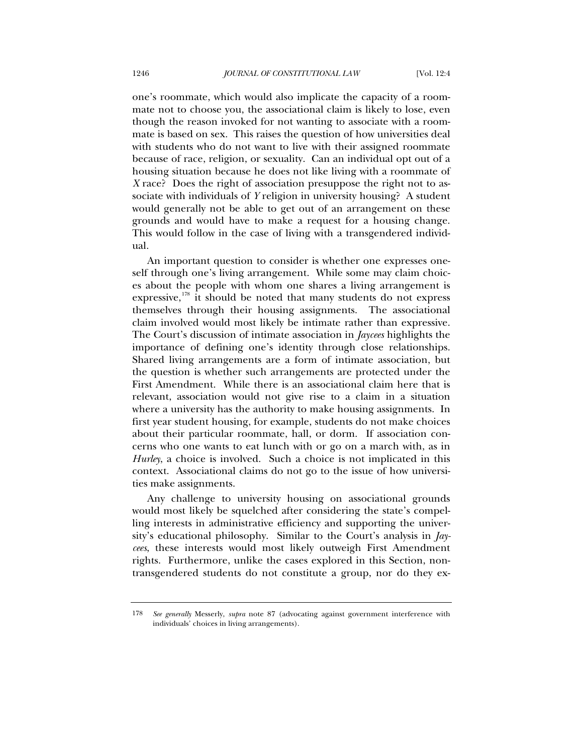one's roommate, which would also implicate the capacity of a roommate not to choose you, the associational claim is likely to lose, even though the reason invoked for not wanting to associate with a roommate is based on sex. This raises the question of how universities deal with students who do not want to live with their assigned roommate because of race, religion, or sexuality. Can an individual opt out of a housing situation because he does not like living with a roommate of *X* race? Does the right of association presuppose the right not to associate with individuals of *Y* religion in university housing? A student would generally not be able to get out of an arrangement on these grounds and would have to make a request for a housing change. This would follow in the case of living with a transgendered individual.

An important question to consider is whether one expresses oneself through one's living arrangement. While some may claim choices about the people with whom one shares a living arrangement is expressive,  $178$  it should be noted that many students do not express themselves through their housing assignments. The associational claim involved would most likely be intimate rather than expressive. The Court's discussion of intimate association in *Jaycees* highlights the importance of defining one's identity through close relationships. Shared living arrangements are a form of intimate association, but the question is whether such arrangements are protected under the First Amendment. While there is an associational claim here that is relevant, association would not give rise to a claim in a situation where a university has the authority to make housing assignments. In first year student housing, for example, students do not make choices about their particular roommate, hall, or dorm. If association concerns who one wants to eat lunch with or go on a march with, as in *Hurley*, a choice is involved. Such a choice is not implicated in this context. Associational claims do not go to the issue of how universities make assignments.

Any challenge to university housing on associational grounds would most likely be squelched after considering the state's compelling interests in administrative efficiency and supporting the university's educational philosophy. Similar to the Court's analysis in *Jaycees*, these interests would most likely outweigh First Amendment rights. Furthermore, unlike the cases explored in this Section, nontransgendered students do not constitute a group, nor do they ex-

<span id="page-31-0"></span><sup>178</sup> *See generally* Messerly, *supra* note 87 (advocating against government interference with individuals' choices in living arrangements).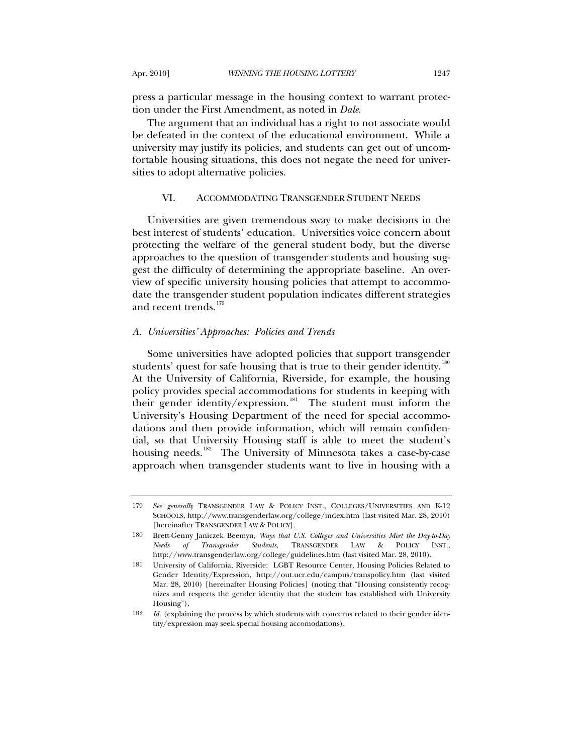press a particular message in the housing context to warrant protection under the First Amendment, as noted in *Dale*.

The argument that an individual has a right to not associate would be defeated in the context of the educational environment. While a university may justify its policies, and students can get out of uncomfortable housing situations, this does not negate the need for universities to adopt alternative policies.

# VI. ACCOMMODATING TRANSGENDER STUDENT NEEDS

Universities are given tremendous sway to make decisions in the best interest of students' education. Universities voice concern about protecting the welfare of the general student body, but the diverse approaches to the question of transgender students and housing suggest the difficulty of determining the appropriate baseline. An overview of specific university housing policies that attempt to accommodate the transgender student population indicates different strategies and recent trends. $^{179}$  $^{179}$  $^{179}$ 

#### *A. Universities' Approaches: Policies and Trends*

Some universities have adopted policies that support transgender students' quest for safe housing that is true to their gender identity.<sup>[180](#page-32-1)</sup> At the University of California, Riverside, for example, the housing policy provides special accommodations for students in keeping with their gender identity/expression.<sup>[181](#page-32-2)</sup> The student must inform the University's Housing Department of the need for special accommodations and then provide information, which will remain confidential, so that University Housing staff is able to meet the student's housing needs.<sup>[182](#page-32-3)</sup> The University of Minnesota takes a case-by-case approach when transgender students want to live in housing with a

<span id="page-32-0"></span><sup>179</sup> *See generally* TRANSGENDER LAW & POLICY INST., COLLEGES/UNIVERSITIES AND K-12 SCHOOLS, http://www.transgenderlaw.org/college/index.htm (last visited Mar. 28, 2010) [hereinafter TRANSGENDER LAW & POLICY].

<span id="page-32-1"></span><sup>180</sup> Brett-Genny Janiczek Beemyn, *Ways that U.S. Colleges and Universities Meet the Day-to-Day Needs of Transgender Students*, TRANSGENDER LAW & POLICY INST., http://www.transgenderlaw.org/college/guidelines.htm (last visited Mar. 28, 2010).

<span id="page-32-2"></span><sup>181</sup> University of California, Riverside: LGBT Resource Center, Housing Policies Related to Gender Identity/Expression, http://out.ucr.edu/campus/transpolicy.htm (last visited Mar. 28, 2010) [hereinafter Housing Policies] (noting that "Housing consistently recognizes and respects the gender identity that the student has established with University Housing").

<span id="page-32-3"></span><sup>182</sup> *Id.* (explaining the process by which students with concerns related to their gender identity/expression may seek special housing accomodations).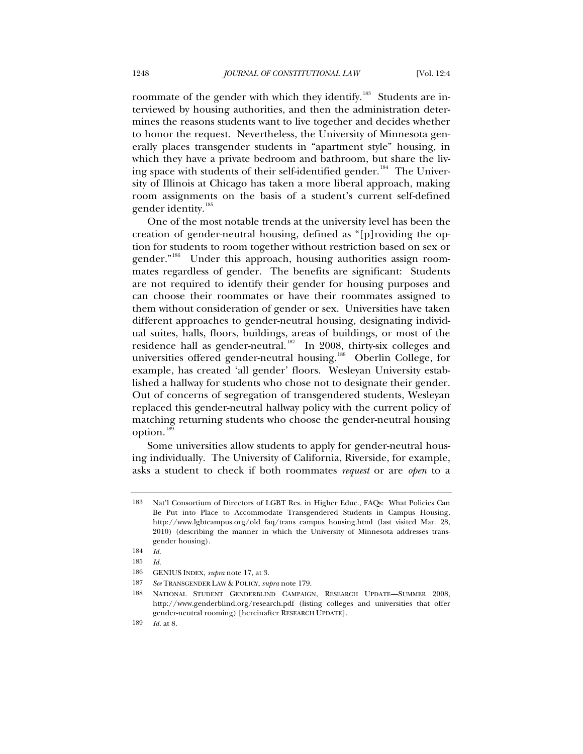roommate of the gender with which they identify.<sup>[183](#page-33-0)</sup> Students are interviewed by housing authorities, and then the administration determines the reasons students want to live together and decides whether to honor the request. Nevertheless, the University of Minnesota generally places transgender students in "apartment style" housing, in which they have a private bedroom and bathroom, but share the liv-ing space with students of their self-identified gender.<sup>[184](#page-33-1)</sup> The University of Illinois at Chicago has taken a more liberal approach, making room assignments on the basis of a student's current self-defined gender identity.<sup>[185](#page-33-2)</sup>

One of the most notable trends at the university level has been the creation of gender-neutral housing, defined as "[p]roviding the option for students to room together without restriction based on sex or gender."<sup>[186](#page-33-3)</sup> Under this approach, housing authorities assign roommates regardless of gender. The benefits are significant: Students are not required to identify their gender for housing purposes and can choose their roommates or have their roommates assigned to them without consideration of gender or sex. Universities have taken different approaches to gender-neutral housing, designating individual suites, halls, floors, buildings, areas of buildings, or most of the residence hall as gender-neutral.<sup>[187](#page-33-4)</sup> In 2008, thirty-six colleges and universities offered gender-neutral housing.<sup>[188](#page-33-5)</sup> Oberlin College, for example, has created 'all gender' floors. Wesleyan University established a hallway for students who chose not to designate their gender. Out of concerns of segregation of transgendered students, Wesleyan replaced this gender-neutral hallway policy with the current policy of matching returning students who choose the gender-neutral housing option.<sup>18</sup>

Some universities allow students to apply for gender-neutral housing individually. The University of California, Riverside, for example, asks a student to check if both roommates *request* or are *open* to a

<span id="page-33-0"></span><sup>183</sup> Nat'l Consortium of Directors of LGBT Res. in Higher Educ., FAQs: What Policies Can Be Put into Place to Accommodate Transgendered Students in Campus Housing, http://www.lgbtcampus.org/old\_faq/trans\_campus\_housing.html (last visited Mar. 28, 2010) (describing the manner in which the University of Minnesota addresses transgender housing).

<span id="page-33-1"></span><sup>184</sup> *Id.*

<span id="page-33-2"></span><sup>185</sup> *Id.*

<span id="page-33-3"></span><sup>186</sup> GENIUS INDEX, *supra* note 17, at 3.

<span id="page-33-4"></span><sup>187</sup> *See* TRANSGENDER LAW & POLICY, *supra* note 179.

<span id="page-33-5"></span><sup>188</sup> NATIONAL STUDENT GENDERBLIND CAMPAIGN, RESEARCH UPDATE—SUMMER 2008, http://www.genderblind.org/research.pdf (listing colleges and universities that offer gender-neutral rooming) [hereinafter RESEARCH UPDATE].

<span id="page-33-6"></span><sup>189</sup> *Id.* at 8.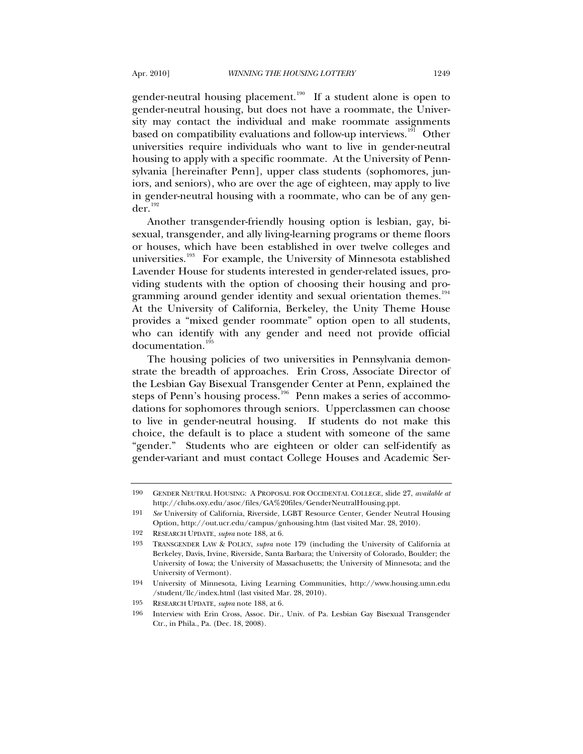gender-neutral housing placement.<sup>[190](#page-34-0)</sup> If a student alone is open to gender-neutral housing, but does not have a roommate, the University may contact the individual and make roommate assignments based on compatibility evaluations and follow-up interviews.<sup>[191](#page-34-1)</sup> Other universities require individuals who want to live in gender-neutral housing to apply with a specific roommate. At the University of Pennsylvania [hereinafter Penn], upper class students (sophomores, juniors, and seniors), who are over the age of eighteen, may apply to live in gender-neutral housing with a roommate, who can be of any gen- $der<sup>192</sup>$  $der<sup>192</sup>$  $der<sup>192</sup>$ 

Another transgender-friendly housing option is lesbian, gay, bisexual, transgender, and ally living-learning programs or theme floors or houses, which have been established in over twelve colleges and universities.<sup>[193](#page-34-3)</sup> For example, the University of Minnesota established Lavender House for students interested in gender-related issues, providing students with the option of choosing their housing and pro-gramming around gender identity and sexual orientation themes.<sup>[194](#page-34-4)</sup> At the University of California, Berkeley, the Unity Theme House provides a "mixed gender roommate" option open to all students, who can identify with any gender and need not provide official documentation.<sup>[195](#page-34-5)</sup>

The housing policies of two universities in Pennsylvania demonstrate the breadth of approaches. Erin Cross, Associate Director of the Lesbian Gay Bisexual Transgender Center at Penn, explained the steps of Penn's housing process.<sup>[196](#page-34-6)</sup> Penn makes a series of accommodations for sophomores through seniors. Upperclassmen can choose to live in gender-neutral housing. If students do not make this choice, the default is to place a student with someone of the same "gender." Students who are eighteen or older can self-identify as gender-variant and must contact College Houses and Academic Ser-

<span id="page-34-0"></span><sup>190</sup> GENDER NEUTRAL HOUSING: A PROPOSAL FOR OCCIDENTAL COLLEGE, slide 27, *available at* http://clubs.oxy.edu/asoc/files/GA%20files/GenderNeutralHousing.ppt.

<span id="page-34-1"></span><sup>191</sup> *See* University of California, Riverside, LGBT Resource Center, Gender Neutral Housing Option, http://out.ucr.edu/campus/gnhousing.htm (last visited Mar. 28, 2010).

<span id="page-34-2"></span><sup>192</sup> RESEARCH UPDATE, *supra* note 188, at 6.

<span id="page-34-3"></span><sup>193</sup> TRANSGENDER LAW & POLICY, *supra* note 179 (including the University of California at Berkeley, Davis, Irvine, Riverside, Santa Barbara; the University of Colorado, Boulder; the University of Iowa; the University of Massachusetts; the University of Minnesota; and the University of Vermont).

<span id="page-34-4"></span><sup>194</sup> University of Minnesota, Living Learning Communities, http://www.housing.umn.edu /student/llc/index.html (last visited Mar. 28, 2010).

<span id="page-34-5"></span><sup>195</sup> RESEARCH UPDATE, *supra* note 188, at 6.

<span id="page-34-6"></span><sup>196</sup> Interview with Erin Cross, Assoc. Dir., Univ. of Pa. Lesbian Gay Bisexual Transgender Ctr., in Phila., Pa. (Dec. 18, 2008).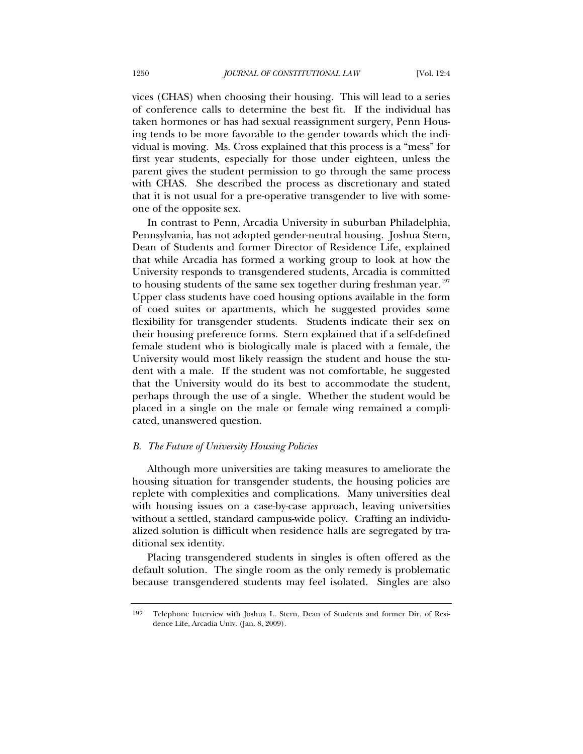vices (CHAS) when choosing their housing. This will lead to a series of conference calls to determine the best fit. If the individual has taken hormones or has had sexual reassignment surgery, Penn Housing tends to be more favorable to the gender towards which the individual is moving. Ms. Cross explained that this process is a "mess" for first year students, especially for those under eighteen, unless the parent gives the student permission to go through the same process with CHAS. She described the process as discretionary and stated that it is not usual for a pre-operative transgender to live with someone of the opposite sex.

In contrast to Penn, Arcadia University in suburban Philadelphia, Pennsylvania, has not adopted gender-neutral housing. Joshua Stern, Dean of Students and former Director of Residence Life, explained that while Arcadia has formed a working group to look at how the University responds to transgendered students, Arcadia is committed to housing students of the same sex together during freshman year.<sup>[197](#page-35-0)</sup> Upper class students have coed housing options available in the form of coed suites or apartments, which he suggested provides some flexibility for transgender students. Students indicate their sex on their housing preference forms. Stern explained that if a self-defined female student who is biologically male is placed with a female, the University would most likely reassign the student and house the student with a male. If the student was not comfortable, he suggested that the University would do its best to accommodate the student, perhaps through the use of a single. Whether the student would be placed in a single on the male or female wing remained a complicated, unanswered question.

### *B. The Future of University Housing Policies*

Although more universities are taking measures to ameliorate the housing situation for transgender students, the housing policies are replete with complexities and complications. Many universities deal with housing issues on a case-by-case approach, leaving universities without a settled, standard campus-wide policy. Crafting an individualized solution is difficult when residence halls are segregated by traditional sex identity.

Placing transgendered students in singles is often offered as the default solution. The single room as the only remedy is problematic because transgendered students may feel isolated. Singles are also

<span id="page-35-0"></span><sup>197</sup> Telephone Interview with Joshua L. Stern, Dean of Students and former Dir. of Residence Life, Arcadia Univ. (Jan. 8, 2009).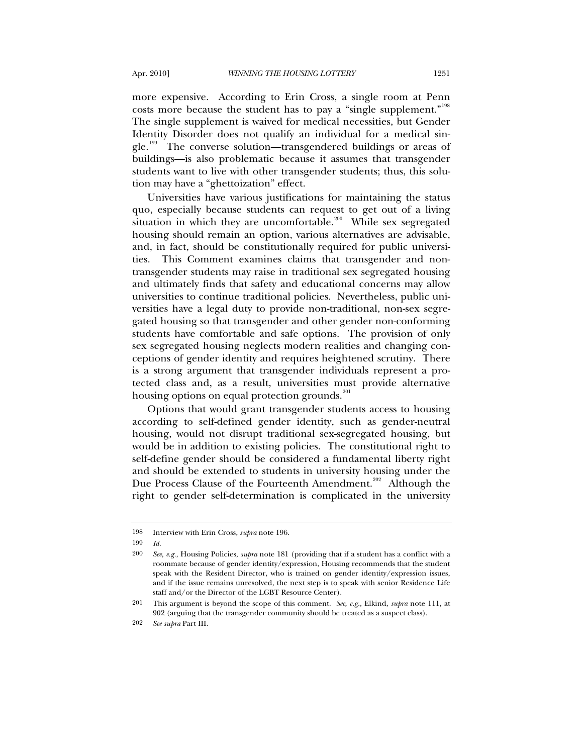more expensive. According to Erin Cross, a single room at Penn costs more because the student has to pay a "single supplement."<sup>[198](#page-36-0)</sup> The single supplement is waived for medical necessities, but Gender Identity Disorder does not qualify an individual for a medical sin-gle.<sup>[199](#page-36-1)</sup> The converse solution—transgendered buildings or areas of buildings—is also problematic because it assumes that transgender students want to live with other transgender students; thus, this solution may have a "ghettoization" effect.

Universities have various justifications for maintaining the status quo, especially because students can request to get out of a living situation in which they are uncomfortable.<sup>[200](#page-36-2)</sup> While sex segregated housing should remain an option, various alternatives are advisable, and, in fact, should be constitutionally required for public universities. This Comment examines claims that transgender and nontransgender students may raise in traditional sex segregated housing and ultimately finds that safety and educational concerns may allow universities to continue traditional policies. Nevertheless, public universities have a legal duty to provide non-traditional, non-sex segregated housing so that transgender and other gender non-conforming students have comfortable and safe options. The provision of only sex segregated housing neglects modern realities and changing conceptions of gender identity and requires heightened scrutiny. There is a strong argument that transgender individuals represent a protected class and, as a result, universities must provide alternative housing options on equal protection grounds.<sup>[201](#page-36-3)</sup>

Options that would grant transgender students access to housing according to self-defined gender identity, such as gender-neutral housing, would not disrupt traditional sex-segregated housing, but would be in addition to existing policies. The constitutional right to self-define gender should be considered a fundamental liberty right and should be extended to students in university housing under the Due Process Clause of the Fourteenth Amendment.<sup>[202](#page-36-4)</sup> Although the right to gender self-determination is complicated in the university

<span id="page-36-0"></span><sup>198</sup> Interview with Erin Cross, *supra* note 196.

<span id="page-36-1"></span><sup>199</sup> *Id.*

<span id="page-36-2"></span><sup>200</sup> *See, e.g.*, Housing Policies, *supra* note 181 (providing that if a student has a conflict with a roommate because of gender identity/expression, Housing recommends that the student speak with the Resident Director, who is trained on gender identity/expression issues, and if the issue remains unresolved, the next step is to speak with senior Residence Life staff and/or the Director of the LGBT Resource Center).

<span id="page-36-3"></span><sup>201</sup> This argument is beyond the scope of this comment. *See, e.g.*, Elkind, *supra* note 111, at 902 (arguing that the transgender community should be treated as a suspect class).

<span id="page-36-4"></span><sup>202</sup> *See supra* Part III.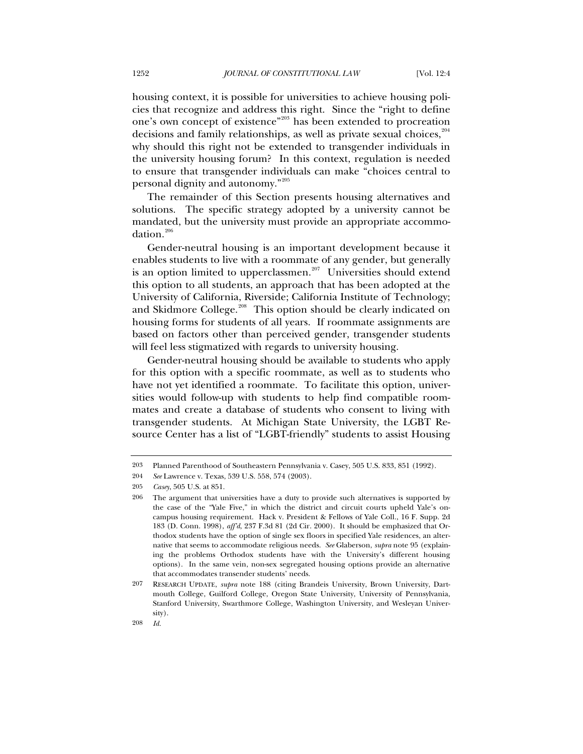housing context, it is possible for universities to achieve housing policies that recognize and address this right. Since the "right to define one's own concept of existence"[203](#page-37-0) has been extended to procreation decisions and family relationships, as well as private sexual choices,  $204$ why should this right not be extended to transgender individuals in the university housing forum? In this context, regulation is needed to ensure that transgender individuals can make "choices central to personal dignity and autonomy."[205](#page-37-2)

The remainder of this Section presents housing alternatives and solutions. The specific strategy adopted by a university cannot be mandated, but the university must provide an appropriate accommo-dation.<sup>[206](#page-37-3)</sup>

Gender-neutral housing is an important development because it enables students to live with a roommate of any gender, but generally is an option limited to upperclassmen.<sup>[207](#page-37-4)</sup> Universities should extend this option to all students, an approach that has been adopted at the University of California, Riverside; California Institute of Technology; and Skidmore College.<sup>[208](#page-37-5)</sup> This option should be clearly indicated on housing forms for students of all years. If roommate assignments are based on factors other than perceived gender, transgender students will feel less stigmatized with regards to university housing.

Gender-neutral housing should be available to students who apply for this option with a specific roommate, as well as to students who have not yet identified a roommate. To facilitate this option, universities would follow-up with students to help find compatible roommates and create a database of students who consent to living with transgender students. At Michigan State University, the LGBT Resource Center has a list of "LGBT-friendly" students to assist Housing

<span id="page-37-0"></span><sup>203</sup> Planned Parenthood of Southeastern Pennsylvania v. Casey, 505 U.S. 833, 851 (1992).

<span id="page-37-1"></span><sup>204</sup> *See* Lawrence v. Texas, 539 U.S. 558, 574 (2003).

<span id="page-37-3"></span><span id="page-37-2"></span><sup>205</sup> *Casey*, 505 U.S. at 851.

<sup>206</sup> The argument that universities have a duty to provide such alternatives is supported by the case of the "Yale Five," in which the district and circuit courts upheld Yale's oncampus housing requirement. Hack v. President & Fellows of Yale Coll., 16 F. Supp. 2d 183 (D. Conn. 1998), *aff'd*, 237 F.3d 81 (2d Cir. 2000). It should be emphasized that Orthodox students have the option of single sex floors in specified Yale residences, an alternative that seems to accommodate religious needs. *See* Glaberson, *supra* note 95 (explaining the problems Orthodox students have with the University's different housing options). In the same vein, non-sex segregated housing options provide an alternative that accommodates transender students' needs.

<span id="page-37-5"></span><span id="page-37-4"></span><sup>207</sup> RESEARCH UPDATE, *supra* note 188 (citing Brandeis University, Brown University, Dartmouth College, Guilford College, Oregon State University, University of Pennsylvania, Stanford University, Swarthmore College, Washington University, and Wesleyan University).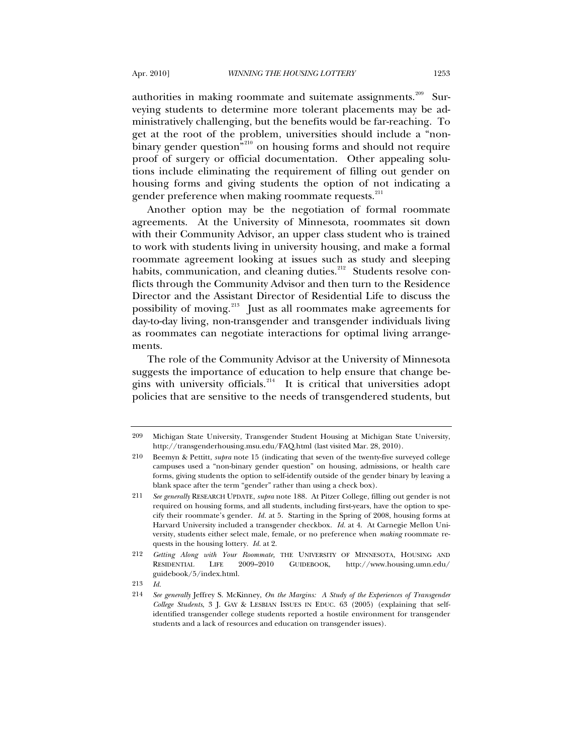authorities in making roommate and suitemate assignments.<sup>[209](#page-38-0)</sup> Surveying students to determine more tolerant placements may be administratively challenging, but the benefits would be far-reaching. To get at the root of the problem, universities should include a "non-binary gender question<sup>"[210](#page-38-1)</sup> on housing forms and should not require proof of surgery or official documentation. Other appealing solutions include eliminating the requirement of filling out gender on housing forms and giving students the option of not indicating a gender preference when making roommate requests.<sup>[211](#page-38-2)</sup>

Another option may be the negotiation of formal roommate agreements. At the University of Minnesota, roommates sit down with their Community Advisor, an upper class student who is trained to work with students living in university housing, and make a formal roommate agreement looking at issues such as study and sleeping habits, communication, and cleaning duties.<sup>[212](#page-38-3)</sup> Students resolve conflicts through the Community Advisor and then turn to the Residence Director and the Assistant Director of Residential Life to discuss the possibility of moving.<sup>[213](#page-38-4)</sup> Just as all roommates make agreements for day-to-day living, non-transgender and transgender individuals living as roommates can negotiate interactions for optimal living arrangements.

The role of the Community Advisor at the University of Minnesota suggests the importance of education to help ensure that change begins with university officials.[214](#page-38-5) It is critical that universities adopt policies that are sensitive to the needs of transgendered students, but

<span id="page-38-0"></span><sup>209</sup> Michigan State University, Transgender Student Housing at Michigan State University, http://transgenderhousing.msu.edu/FAQ.html (last visited Mar. 28, 2010).

<span id="page-38-1"></span><sup>210</sup> Beemyn & Pettitt, *supra* note 15 (indicating that seven of the twenty-five surveyed college campuses used a "non-binary gender question" on housing, admissions, or health care forms, giving students the option to self-identify outside of the gender binary by leaving a blank space after the term "gender" rather than using a check box).

<span id="page-38-2"></span><sup>211</sup> *See generally* RESEARCH UPDATE, *supra* note 188. At Pitzer College, filling out gender is not required on housing forms, and all students, including first-years, have the option to specify their roommate's gender. *Id.* at 5. Starting in the Spring of 2008, housing forms at Harvard University included a transgender checkbox. *Id.* at 4. At Carnegie Mellon University, students either select male, female, or no preference when *making* roommate requests in the housing lottery. *Id.* at 2.

<span id="page-38-3"></span><sup>212</sup> *Getting Along with Your Roommate,* THE UNIVERSITY OF MINNESOTA, HOUSING AND RESIDENTIAL LIFE 2009–2010 GUIDEBOOK, http://www.housing.umn.edu/ guidebook/5/index.html.

<span id="page-38-5"></span><span id="page-38-4"></span><sup>213</sup> *Id.*

<sup>214</sup> *See generally* Jeffrey S. McKinney, *On the Margins: A Study of the Experiences of Transgender College Students*, 3 J. GAY & LESBIAN ISSUES IN EDUC. 63 (2005) (explaining that selfidentified transgender college students reported a hostile environment for transgender students and a lack of resources and education on transgender issues).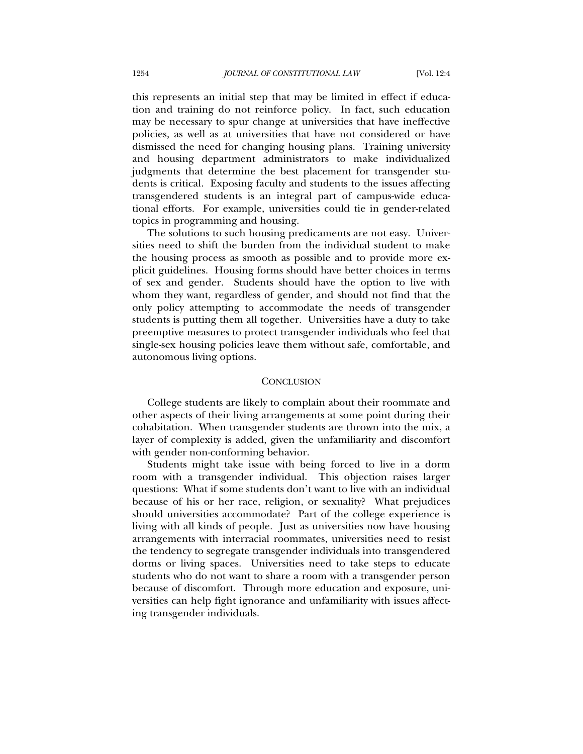this represents an initial step that may be limited in effect if education and training do not reinforce policy. In fact, such education may be necessary to spur change at universities that have ineffective policies, as well as at universities that have not considered or have dismissed the need for changing housing plans. Training university and housing department administrators to make individualized judgments that determine the best placement for transgender students is critical. Exposing faculty and students to the issues affecting transgendered students is an integral part of campus-wide educational efforts. For example, universities could tie in gender-related topics in programming and housing.

The solutions to such housing predicaments are not easy. Universities need to shift the burden from the individual student to make the housing process as smooth as possible and to provide more explicit guidelines. Housing forms should have better choices in terms of sex and gender. Students should have the option to live with whom they want, regardless of gender, and should not find that the only policy attempting to accommodate the needs of transgender students is putting them all together. Universities have a duty to take preemptive measures to protect transgender individuals who feel that single-sex housing policies leave them without safe, comfortable, and autonomous living options.

#### **CONCLUSION**

College students are likely to complain about their roommate and other aspects of their living arrangements at some point during their cohabitation. When transgender students are thrown into the mix, a layer of complexity is added, given the unfamiliarity and discomfort with gender non-conforming behavior.

Students might take issue with being forced to live in a dorm room with a transgender individual. This objection raises larger questions: What if some students don't want to live with an individual because of his or her race, religion, or sexuality? What prejudices should universities accommodate? Part of the college experience is living with all kinds of people. Just as universities now have housing arrangements with interracial roommates, universities need to resist the tendency to segregate transgender individuals into transgendered dorms or living spaces. Universities need to take steps to educate students who do not want to share a room with a transgender person because of discomfort. Through more education and exposure, universities can help fight ignorance and unfamiliarity with issues affecting transgender individuals.